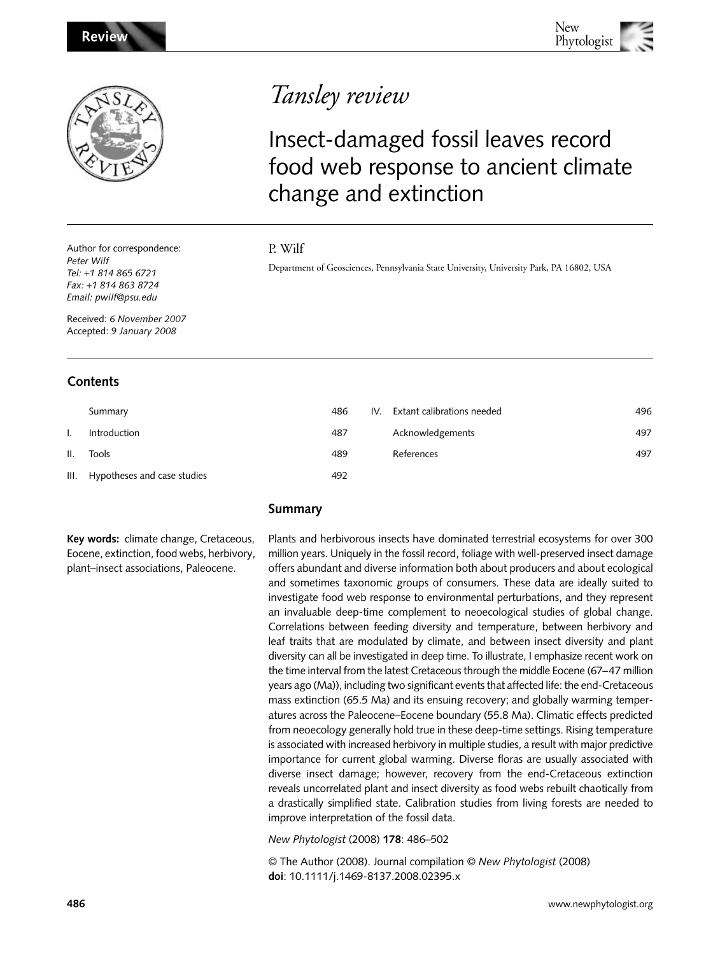

Author for correspondence: *Peter Wilf Tel:* +*1 814 865 6721 Fax:* +*1 814 863 8724 Email: [pwilf@psu.edu](mailto:pwilf@psu.edu)*

Received: *6 November 2007* Accepted: *9 January 2008*

# **Contents**

|     | Summary                          | 486 | IV. | Extant calibrations needed | 496 |
|-----|----------------------------------|-----|-----|----------------------------|-----|
|     | Introduction                     | 487 |     | Acknowledgements           | 497 |
| II. | Tools                            | 489 |     | References                 | 497 |
|     | III. Hypotheses and case studies | 492 |     |                            |     |

**Key words:** climate change, Cretaceous, Eocene, extinction, food webs, herbivory, plant–insect associations, Paleocene.

# Tansley review

# Insect-damaged fossil leaves record food web response to ancient climate change and extinction

# P. Wilf

Department of Geosciences, Pennsylvania State University, University Park, PA 16802, USA

Plants and herbivorous insects have dominated terrestrial ecosystems for over 300 million years. Uniquely in the fossil record, foliage with well-preserved insect damage offers abundant and diverse information both about producers and about ecological and sometimes taxonomic groups of consumers. These data are ideally suited to investigate food web response to environmental perturbations, and they represent an invaluable deep-time complement to neoecological studies of global change. Correlations between feeding diversity and temperature, between herbivory and leaf traits that are modulated by climate, and between insect diversity and plant diversity can all be investigated in deep time. To illustrate, I emphasize recent work on the time interval from the latest Cretaceous through the middle Eocene (67–47 million years ago (Ma)), including two significant events that affected life: the end-Cretaceous mass extinction (65.5 Ma) and its ensuing recovery; and globally warming temperatures across the Paleocene–Eocene boundary (55.8 Ma). Climatic effects predicted from neoecology generally hold true in these deep-time settings. Rising temperature is associated with increased herbivory in multiple studies, a result with major predictive importance for current global warming. Diverse floras are usually associated with diverse insect damage; however, recovery from the end-Cretaceous extinction reveals uncorrelated plant and insect diversity as food webs rebuilt chaotically from a drastically simplified state. Calibration studies from living forests are needed to improve interpretation of the fossil data.

*New Phytologist* (2008) **178**: 486–502

© The Author (2008). Journal compilation © *New Phytologist* (2008) **doi**: 10.1111/j.1469-8137.2008.02395.x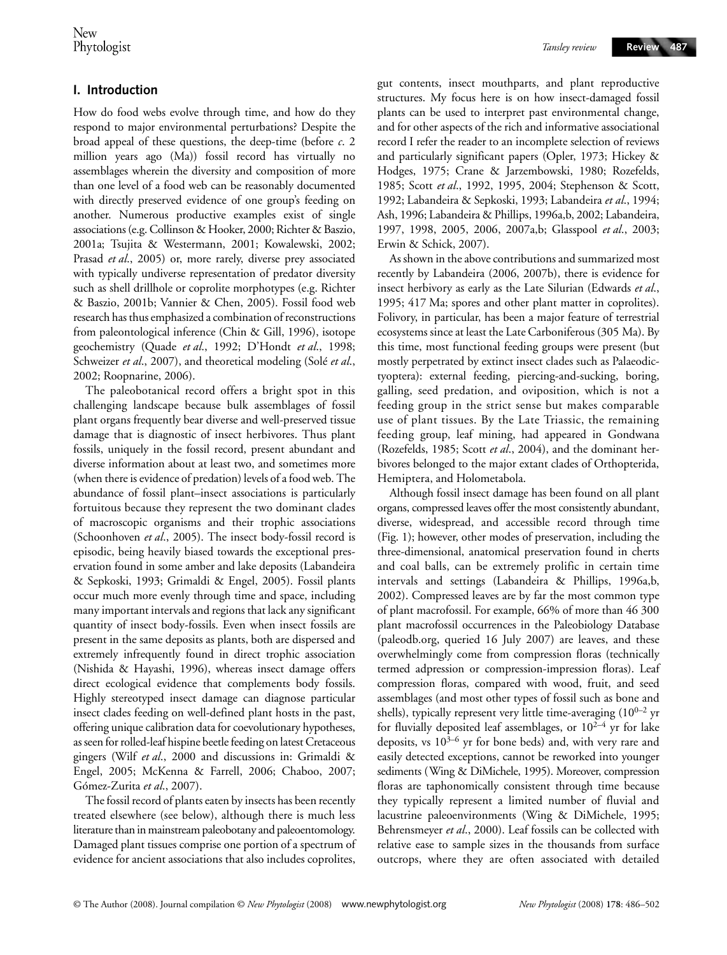# **I. Introduction**

How do food webs evolve through time, and how do they respond to major environmental perturbations? Despite the broad appeal of these questions, the deep-time (before *c*. 2 million years ago (Ma)) fossil record has virtually no assemblages wherein the diversity and composition of more than one level of a food web can be reasonably documented with directly preserved evidence of one group's feeding on another. Numerous productive examples exist of single associations (e.g. Collinson & Hooker, 2000; Richter & Baszio, 2001a; Tsujita & Westermann, 2001; Kowalewski, 2002; Prasad *et al*., 2005) or, more rarely, diverse prey associated with typically undiverse representation of predator diversity such as shell drillhole or coprolite morphotypes (e.g. Richter & Baszio, 2001b; Vannier & Chen, 2005). Fossil food web research has thus emphasized a combination of reconstructions from paleontological inference (Chin & Gill, 1996), isotope geochemistry (Quade *et al*., 1992; D'Hondt *et al*., 1998; Schweizer *et al.*, 2007), and theoretical modeling (Solé *et al.*, 2002; Roopnarine, 2006).

The paleobotanical record offers a bright spot in this challenging landscape because bulk assemblages of fossil plant organs frequently bear diverse and well-preserved tissue damage that is diagnostic of insect herbivores. Thus plant fossils, uniquely in the fossil record, present abundant and diverse information about at least two, and sometimes more (when there is evidence of predation) levels of a food web. The abundance of fossil plant–insect associations is particularly fortuitous because they represent the two dominant clades of macroscopic organisms and their trophic associations (Schoonhoven *et al*., 2005). The insect body-fossil record is episodic, being heavily biased towards the exceptional preservation found in some amber and lake deposits (Labandeira & Sepkoski, 1993; Grimaldi & Engel, 2005). Fossil plants occur much more evenly through time and space, including many important intervals and regions that lack any significant quantity of insect body-fossils. Even when insect fossils are present in the same deposits as plants, both are dispersed and extremely infrequently found in direct trophic association (Nishida & Hayashi, 1996), whereas insect damage offers direct ecological evidence that complements body fossils. Highly stereotyped insect damage can diagnose particular insect clades feeding on well-defined plant hosts in the past, offering unique calibration data for coevolutionary hypotheses, as seen for rolled-leaf hispine beetle feeding on latest Cretaceous gingers (Wilf *et al*., 2000 and discussions in: Grimaldi & Engel, 2005; McKenna & Farrell, 2006; Chaboo, 2007; Gómez-Zurita *et al*., 2007).

The fossil record of plants eaten by insects has been recently treated elsewhere (see below), although there is much less literature than in mainstream paleobotany and paleoentomology. Damaged plant tissues comprise one portion of a spectrum of evidence for ancient associations that also includes coprolites,

*Tansley review*

gut contents, insect mouthparts, and plant reproductive structures. My focus here is on how insect-damaged fossil plants can be used to interpret past environmental change, and for other aspects of the rich and informative associational record I refer the reader to an incomplete selection of reviews and particularly significant papers (Opler, 1973; Hickey & Hodges, 1975; Crane & Jarzembowski, 1980; Rozefelds, 1985; Scott *et al*., 1992, 1995, 2004; Stephenson & Scott, 1992; Labandeira & Sepkoski, 1993; Labandeira *et al*., 1994; Ash, 1996; Labandeira & Phillips, 1996a,b, 2002; Labandeira, 1997, 1998, 2005, 2006, 2007a,b; Glasspool *et al*., 2003; Erwin & Schick, 2007).

As shown in the above contributions and summarized most recently by Labandeira (2006, 2007b), there is evidence for insect herbivory as early as the Late Silurian (Edwards *et al*., 1995; 417 Ma; spores and other plant matter in coprolites). Folivory, in particular, has been a major feature of terrestrial ecosystems since at least the Late Carboniferous (305 Ma). By this time, most functional feeding groups were present (but mostly perpetrated by extinct insect clades such as Palaeodictyoptera): external feeding, piercing-and-sucking, boring, galling, seed predation, and oviposition, which is not a feeding group in the strict sense but makes comparable use of plant tissues. By the Late Triassic, the remaining feeding group, leaf mining, had appeared in Gondwana (Rozefelds, 1985; Scott *et al*., 2004), and the dominant herbivores belonged to the major extant clades of Orthopterida, Hemiptera, and Holometabola.

Although fossil insect damage has been found on all plant organs, compressed leaves offer the most consistently abundant, diverse, widespread, and accessible record through time (Fig. 1); however, other modes of preservation, including the three-dimensional, anatomical preservation found in cherts and coal balls, can be extremely prolific in certain time intervals and settings (Labandeira & Phillips, 1996a,b, 2002). Compressed leaves are by far the most common type of plant macrofossil. For example, 66% of more than 46 300 plant macrofossil occurrences in the Paleobiology Database (paleodb.org, queried 16 July 2007) are leaves, and these overwhelmingly come from compression floras (technically termed adpression or compression-impression floras). Leaf compression floras, compared with wood, fruit, and seed assemblages (and most other types of fossil such as bone and shells), typically represent very little time-averaging  $(10^{0-2} \text{ yr})$ for fluvially deposited leaf assemblages, or  $10^{2-4}$  yr for lake deposits, vs  $10^{3-6}$  yr for bone beds) and, with very rare and easily detected exceptions, cannot be reworked into younger sediments (Wing & DiMichele, 1995). Moreover, compression floras are taphonomically consistent through time because they typically represent a limited number of fluvial and lacustrine paleoenvironments (Wing & DiMichele, 1995; Behrensmeyer *et al*., 2000). Leaf fossils can be collected with relative ease to sample sizes in the thousands from surface outcrops, where they are often associated with detailed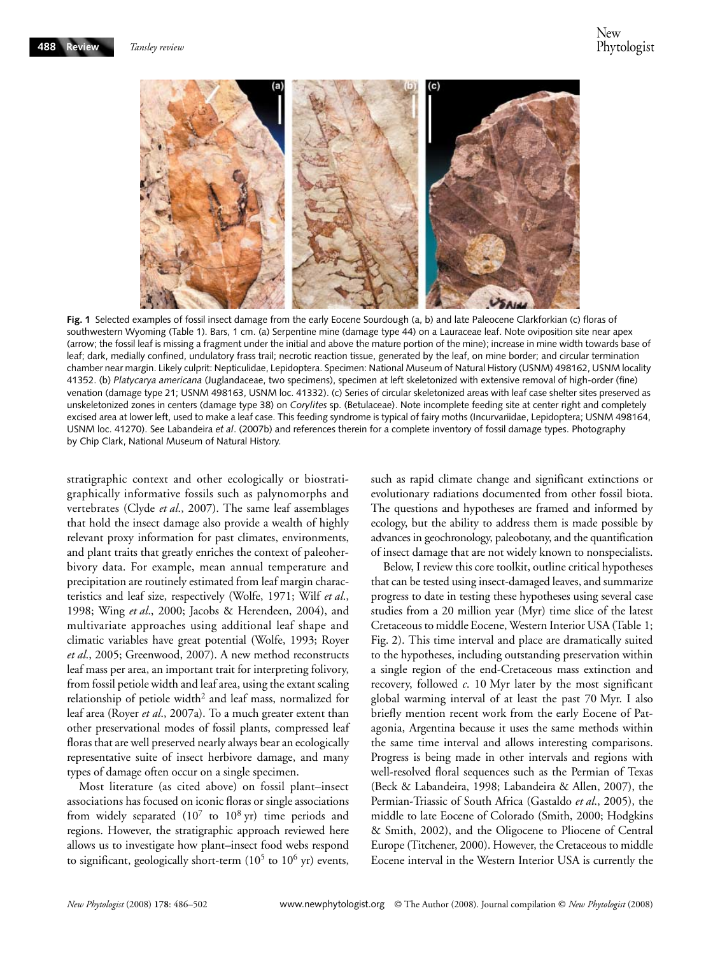

**Fig. 1** Selected examples of fossil insect damage from the early Eocene Sourdough (a, b) and late Paleocene Clarkforkian (c) floras of southwestern Wyoming (Table 1). Bars, 1 cm. (a) Serpentine mine (damage type 44) on a Lauraceae leaf. Note oviposition site near apex (arrow; the fossil leaf is missing a fragment under the initial and above the mature portion of the mine); increase in mine width towards base of leaf; dark, medially confined, undulatory frass trail; necrotic reaction tissue, generated by the leaf, on mine border; and circular termination chamber near margin. Likely culprit: Nepticulidae, Lepidoptera. Specimen: National Museum of Natural History (USNM) 498162, USNM locality 41352. (b) *Platycarya americana* (Juglandaceae, two specimens), specimen at left skeletonized with extensive removal of high-order (fine) venation (damage type 21; USNM 498163, USNM loc. 41332). (c) Series of circular skeletonized areas with leaf case shelter sites preserved as unskeletonized zones in centers (damage type 38) on *Corylites* sp. (Betulaceae). Note incomplete feeding site at center right and completely excised area at lower left, used to make a leaf case. This feeding syndrome is typical of fairy moths (Incurvariidae, Lepidoptera; USNM 498164, USNM loc. 41270). See Labandeira *et al*. (2007b) and references therein for a complete inventory of fossil damage types. Photography by Chip Clark, National Museum of Natural History.

stratigraphic context and other ecologically or biostratigraphically informative fossils such as palynomorphs and vertebrates (Clyde *et al*., 2007). The same leaf assemblages that hold the insect damage also provide a wealth of highly relevant proxy information for past climates, environments, and plant traits that greatly enriches the context of paleoherbivory data. For example, mean annual temperature and precipitation are routinely estimated from leaf margin characteristics and leaf size, respectively (Wolfe, 1971; Wilf *et al*., 1998; Wing *et al*., 2000; Jacobs & Herendeen, 2004), and multivariate approaches using additional leaf shape and climatic variables have great potential (Wolfe, 1993; Royer *et al*., 2005; Greenwood, 2007). A new method reconstructs leaf mass per area, an important trait for interpreting folivory, from fossil petiole width and leaf area, using the extant scaling relationship of petiole width<sup>2</sup> and leaf mass, normalized for leaf area (Royer *et al*., 2007a). To a much greater extent than other preservational modes of fossil plants, compressed leaf floras that are well preserved nearly always bear an ecologically representative suite of insect herbivore damage, and many types of damage often occur on a single specimen.

Most literature (as cited above) on fossil plant–insect associations has focused on iconic floras or single associations from widely separated  $(10^7$  to  $10^8$  yr) time periods and regions. However, the stratigraphic approach reviewed here allows us to investigate how plant–insect food webs respond to significant, geologically short-term  $(10^5$  to  $10^6$  yr) events,

such as rapid climate change and significant extinctions or evolutionary radiations documented from other fossil biota. The questions and hypotheses are framed and informed by ecology, but the ability to address them is made possible by advances in geochronology, paleobotany, and the quantification of insect damage that are not widely known to nonspecialists.

Below, I review this core toolkit, outline critical hypotheses that can be tested using insect-damaged leaves, and summarize progress to date in testing these hypotheses using several case studies from a 20 million year (Myr) time slice of the latest Cretaceous to middle Eocene, Western Interior USA (Table 1; Fig. 2). This time interval and place are dramatically suited to the hypotheses, including outstanding preservation within a single region of the end-Cretaceous mass extinction and recovery, followed *c*. 10 Myr later by the most significant global warming interval of at least the past 70 Myr. I also briefly mention recent work from the early Eocene of Patagonia, Argentina because it uses the same methods within the same time interval and allows interesting comparisons. Progress is being made in other intervals and regions with well-resolved floral sequences such as the Permian of Texas (Beck & Labandeira, 1998; Labandeira & Allen, 2007), the Permian-Triassic of South Africa (Gastaldo *et al*., 2005), the middle to late Eocene of Colorado (Smith, 2000; Hodgkins & Smith, 2002), and the Oligocene to Pliocene of Central Europe (Titchener, 2000). However, the Cretaceous to middle Eocene interval in the Western Interior USA is currently the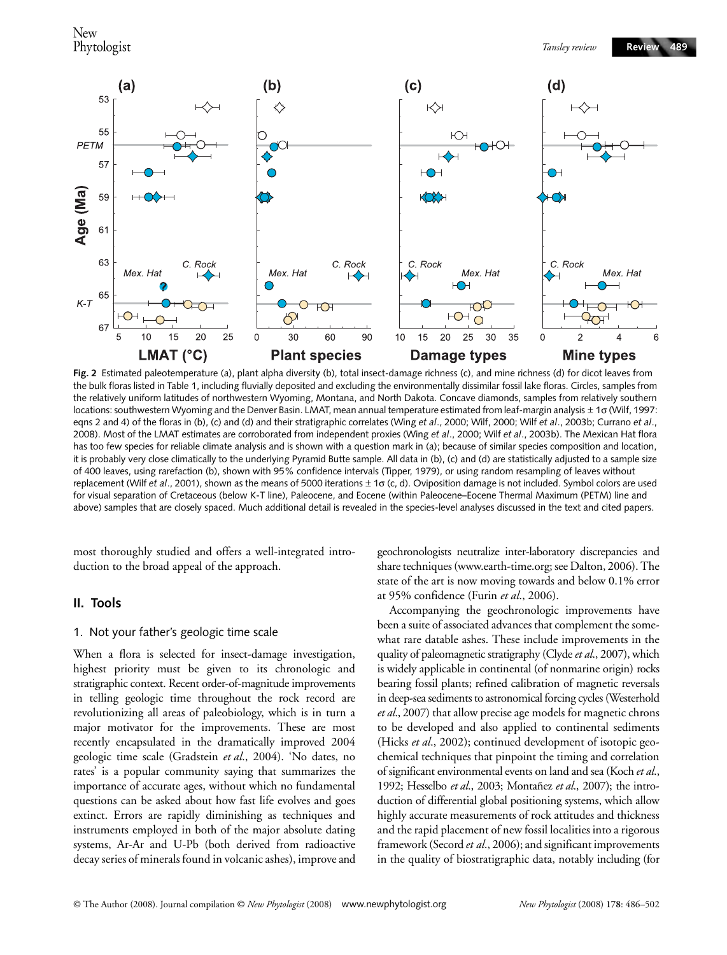

**Fig. 2** Estimated paleotemperature (a), plant alpha diversity (b), total insect-damage richness (c), and mine richness (d) for dicot leaves from the bulk floras listed in Table 1, including fluvially deposited and excluding the environmentally dissimilar fossil lake floras. Circles, samples from the relatively uniform latitudes of northwestern Wyoming, Montana, and North Dakota. Concave diamonds, samples from relatively southern locations: southwestern Wyoming and the Denver Basin. LMAT, mean annual temperature estimated from leaf-margin analysis ± 1σ (Wilf, 1997: eqns 2 and 4) of the floras in (b), (c) and (d) and their stratigraphic correlates (Wing *et al*., 2000; Wilf, 2000; Wilf *et al*., 2003b; Currano *et al*., 2008). Most of the LMAT estimates are corroborated from independent proxies (Wing *et al*., 2000; Wilf *et al*., 2003b). The Mexican Hat flora has too few species for reliable climate analysis and is shown with a question mark in (a); because of similar species composition and location, it is probably very close climatically to the underlying Pyramid Butte sample. All data in (b), (c) and (d) are statistically adjusted to a sample size of 400 leaves, using rarefaction (b), shown with 95% confidence intervals (Tipper, 1979), or using random resampling of leaves without replacement (Wilf *et al*., 2001), shown as the means of 5000 iterations ± 1σ (c, d). Oviposition damage is not included. Symbol colors are used for visual separation of Cretaceous (below K-T line), Paleocene, and Eocene (within Paleocene–Eocene Thermal Maximum (PETM) line and above) samples that are closely spaced. Much additional detail is revealed in the species-level analyses discussed in the text and cited papers.

most thoroughly studied and offers a well-integrated introduction to the broad appeal of the approach.

## **II. Tools**

## 1. Not your father's geologic time scale

When a flora is selected for insect-damage investigation, highest priority must be given to its chronologic and stratigraphic context. Recent order-of-magnitude improvements in telling geologic time throughout the rock record are revolutionizing all areas of paleobiology, which is in turn a major motivator for the improvements. These are most recently encapsulated in the dramatically improved 2004 geologic time scale (Gradstein *et al*., 2004). 'No dates, no rates' is a popular community saying that summarizes the importance of accurate ages, without which no fundamental questions can be asked about how fast life evolves and goes extinct. Errors are rapidly diminishing as techniques and instruments employed in both of the major absolute dating systems, Ar-Ar and U-Pb (both derived from radioactive decay series of minerals found in volcanic ashes), improve and geochronologists neutralize inter-laboratory discrepancies and share techniques ([www.earth-time.org;](http://www.earth-time.org) see Dalton, 2006). The state of the art is now moving towards and below 0.1% error at 95% confidence (Furin *et al*., 2006).

Accompanying the geochronologic improvements have been a suite of associated advances that complement the somewhat rare datable ashes. These include improvements in the quality of paleomagnetic stratigraphy (Clyde *et al*., 2007), which is widely applicable in continental (of nonmarine origin) rocks bearing fossil plants; refined calibration of magnetic reversals in deep-sea sediments to astronomical forcing cycles (Westerhold *et al*., 2007) that allow precise age models for magnetic chrons to be developed and also applied to continental sediments (Hicks *et al*., 2002); continued development of isotopic geochemical techniques that pinpoint the timing and correlation of significant environmental events on land and sea (Koch *et al*., 1992; Hesselbo *et al*., 2003; Montañez *et al*., 2007); the introduction of differential global positioning systems, which allow highly accurate measurements of rock attitudes and thickness and the rapid placement of new fossil localities into a rigorous framework (Secord *et al*., 2006); and significant improvements in the quality of biostratigraphic data, notably including (for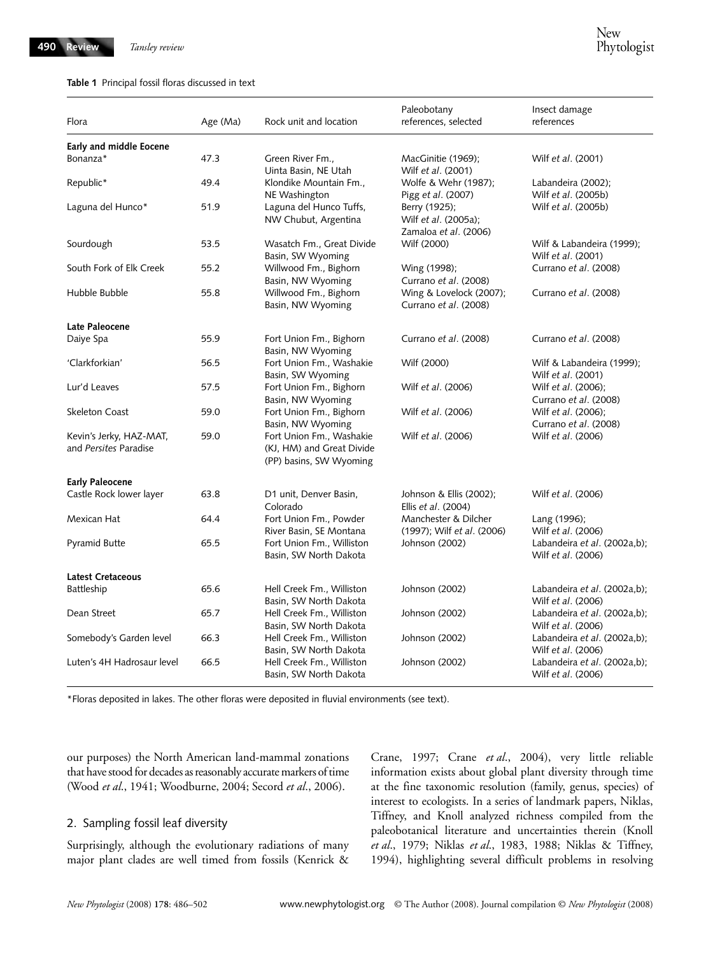#### **Table 1** Principal fossil floras discussed in text

| Flora                                            | Age (Ma) | Rock unit and location                                                           | Paleobotany<br>references, selected                            | Insect damage<br>references                               |
|--------------------------------------------------|----------|----------------------------------------------------------------------------------|----------------------------------------------------------------|-----------------------------------------------------------|
| Early and middle Eocene                          |          |                                                                                  |                                                                |                                                           |
| Bonanza*                                         | 47.3     | Green River Fm.,<br>Uinta Basin, NE Utah                                         | MacGinitie (1969);<br>Wilf et al. (2001)                       | Wilf <i>et al.</i> (2001)                                 |
| Republic*                                        | 49.4     | Klondike Mountain Fm.,<br>NE Washington                                          | Wolfe & Wehr (1987);<br>Pigg et al. (2007)                     | Labandeira (2002);<br>Wilf et al. (2005b)                 |
| Laguna del Hunco*                                | 51.9     | Laguna del Hunco Tuffs,<br>NW Chubut, Argentina                                  | Berry (1925);<br>Wilf et al. (2005a);<br>Zamaloa et al. (2006) | Wilf <i>et al.</i> (2005b)                                |
| Sourdough                                        | 53.5     | Wasatch Fm., Great Divide<br>Basin, SW Wyoming                                   | Wilf (2000)                                                    | Wilf & Labandeira (1999);<br>Wilf et al. (2001)           |
| South Fork of Elk Creek                          | 55.2     | Willwood Fm., Bighorn<br>Basin, NW Wyoming                                       | Wing (1998);<br>Currano et al. (2008)                          | Currano et al. (2008)                                     |
| Hubble Bubble                                    | 55.8     | Willwood Fm., Bighorn<br>Basin, NW Wyoming                                       | Wing & Lovelock (2007);<br>Currano et al. (2008)               | Currano <i>et al.</i> (2008)                              |
| Late Paleocene                                   |          |                                                                                  |                                                                |                                                           |
| Daiye Spa                                        | 55.9     | Fort Union Fm., Bighorn<br>Basin, NW Wyoming                                     | Currano et al. (2008)                                          | Currano et al. (2008)                                     |
| 'Clarkforkian'                                   | 56.5     | Fort Union Fm., Washakie<br>Basin, SW Wyoming                                    | Wilf (2000)                                                    | Wilf & Labandeira (1999);<br>Wilf et al. (2001)           |
| Lur'd Leaves                                     | 57.5     | Fort Union Fm., Bighorn<br>Basin, NW Wyoming                                     | Wilf et al. (2006)                                             | Wilf <i>et al.</i> (2006);<br>Currano et al. (2008)       |
| Skeleton Coast                                   | 59.0     | Fort Union Fm., Bighorn<br>Basin, NW Wyoming                                     | Wilf et al. (2006)                                             | Wilf et al. (2006);<br>Currano et al. (2008)              |
| Kevin's Jerky, HAZ-MAT,<br>and Persites Paradise | 59.0     | Fort Union Fm., Washakie<br>(KJ, HM) and Great Divide<br>(PP) basins, SW Wyoming | Wilf et al. (2006)                                             | Wilf et al. (2006)                                        |
| <b>Early Paleocene</b>                           |          |                                                                                  |                                                                |                                                           |
| Castle Rock lower layer                          | 63.8     | D1 unit, Denver Basin,<br>Colorado                                               | Johnson & Ellis (2002);<br>Ellis et al. (2004)                 | Wilf <i>et al.</i> (2006)                                 |
| Mexican Hat                                      | 64.4     | Fort Union Fm., Powder<br>River Basin, SE Montana                                | Manchester & Dilcher<br>(1997); Wilf et al. (2006)             | Lang (1996);<br>Wilf et al. (2006)                        |
| Pyramid Butte                                    | 65.5     | Fort Union Fm., Williston<br>Basin, SW North Dakota                              | Johnson (2002)                                                 | Labandeira et al. (2002a,b);<br>Wilf et al. (2006)        |
| <b>Latest Cretaceous</b>                         |          |                                                                                  |                                                                |                                                           |
| Battleship                                       | 65.6     | Hell Creek Fm., Williston<br>Basin, SW North Dakota                              | Johnson (2002)                                                 | Labandeira et al. (2002a,b);<br>Wilf et al. (2006)        |
| Dean Street                                      | 65.7     | Hell Creek Fm., Williston<br>Basin, SW North Dakota                              | Johnson (2002)                                                 | Labandeira et al. (2002a,b);<br>Wilf et al. (2006)        |
| Somebody's Garden level                          | 66.3     | Hell Creek Fm., Williston<br>Basin, SW North Dakota                              | Johnson (2002)                                                 | Labandeira et al. (2002a,b);<br>Wilf et al. (2006)        |
| Luten's 4H Hadrosaur level                       | 66.5     | Hell Creek Fm., Williston<br>Basin, SW North Dakota                              | Johnson (2002)                                                 | Labandeira et al. (2002a,b);<br>Wilf <i>et al.</i> (2006) |

\*Floras deposited in lakes. The other floras were deposited in fluvial environments (see text).

our purposes) the North American land-mammal zonations that have stood for decades as reasonably accurate markers of time (Wood *et al*., 1941; Woodburne, 2004; Secord *et al*., 2006).

# 2. Sampling fossil leaf diversity

Surprisingly, although the evolutionary radiations of many major plant clades are well timed from fossils (Kenrick &

Crane, 1997; Crane *et al*., 2004), very little reliable information exists about global plant diversity through time at the fine taxonomic resolution (family, genus, species) of interest to ecologists. In a series of landmark papers, Niklas, Tiffney, and Knoll analyzed richness compiled from the paleobotanical literature and uncertainties therein (Knoll *et al*., 1979; Niklas *et al*., 1983, 1988; Niklas & Tiffney, 1994), highlighting several difficult problems in resolving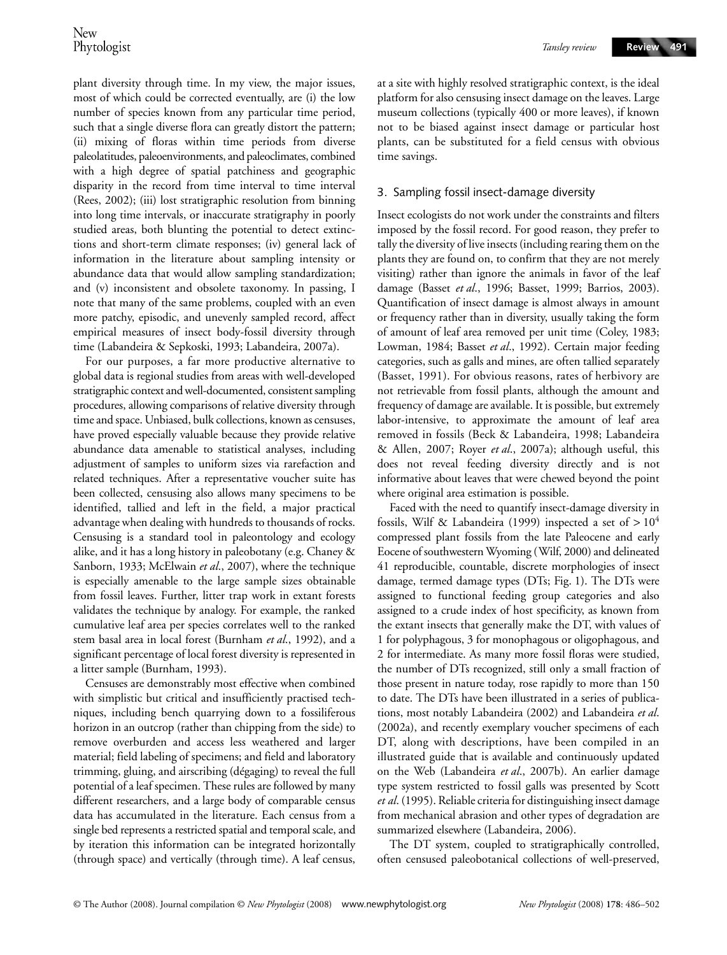plant diversity through time. In my view, the major issues, most of which could be corrected eventually, are (i) the low number of species known from any particular time period, such that a single diverse flora can greatly distort the pattern; (ii) mixing of floras within time periods from diverse paleolatitudes, paleoenvironments, and paleoclimates, combined with a high degree of spatial patchiness and geographic disparity in the record from time interval to time interval (Rees, 2002); (iii) lost stratigraphic resolution from binning into long time intervals, or inaccurate stratigraphy in poorly studied areas, both blunting the potential to detect extinctions and short-term climate responses; (iv) general lack of information in the literature about sampling intensity or abundance data that would allow sampling standardization; and (v) inconsistent and obsolete taxonomy. In passing, I note that many of the same problems, coupled with an even more patchy, episodic, and unevenly sampled record, affect empirical measures of insect body-fossil diversity through time (Labandeira & Sepkoski, 1993; Labandeira, 2007a).

For our purposes, a far more productive alternative to global data is regional studies from areas with well-developed stratigraphic context and well-documented, consistent sampling procedures, allowing comparisons of relative diversity through time and space. Unbiased, bulk collections, known as censuses, have proved especially valuable because they provide relative abundance data amenable to statistical analyses, including adjustment of samples to uniform sizes via rarefaction and related techniques. After a representative voucher suite has been collected, censusing also allows many specimens to be identified, tallied and left in the field, a major practical advantage when dealing with hundreds to thousands of rocks. Censusing is a standard tool in paleontology and ecology alike, and it has a long history in paleobotany (e.g. Chaney & Sanborn, 1933; McElwain *et al*., 2007), where the technique is especially amenable to the large sample sizes obtainable from fossil leaves. Further, litter trap work in extant forests validates the technique by analogy. For example, the ranked cumulative leaf area per species correlates well to the ranked stem basal area in local forest (Burnham *et al*., 1992), and a significant percentage of local forest diversity is represented in a litter sample (Burnham, 1993).

Censuses are demonstrably most effective when combined with simplistic but critical and insufficiently practised techniques, including bench quarrying down to a fossiliferous horizon in an outcrop (rather than chipping from the side) to remove overburden and access less weathered and larger material; field labeling of specimens; and field and laboratory trimming, gluing, and airscribing (dégaging) to reveal the full potential of a leaf specimen. These rules are followed by many different researchers, and a large body of comparable census data has accumulated in the literature. Each census from a single bed represents a restricted spatial and temporal scale, and by iteration this information can be integrated horizontally (through space) and vertically (through time). A leaf census,

at a site with highly resolved stratigraphic context, is the ideal platform for also censusing insect damage on the leaves. Large museum collections (typically 400 or more leaves), if known not to be biased against insect damage or particular host plants, can be substituted for a field census with obvious time savings.

#### 3. Sampling fossil insect-damage diversity

Insect ecologists do not work under the constraints and filters imposed by the fossil record. For good reason, they prefer to tally the diversity of live insects (including rearing them on the plants they are found on, to confirm that they are not merely visiting) rather than ignore the animals in favor of the leaf damage (Basset *et al*., 1996; Basset, 1999; Barrios, 2003). Quantification of insect damage is almost always in amount or frequency rather than in diversity, usually taking the form of amount of leaf area removed per unit time (Coley, 1983; Lowman, 1984; Basset *et al*., 1992). Certain major feeding categories, such as galls and mines, are often tallied separately (Basset, 1991). For obvious reasons, rates of herbivory are not retrievable from fossil plants, although the amount and frequency of damage are available. It is possible, but extremely labor-intensive, to approximate the amount of leaf area removed in fossils (Beck & Labandeira, 1998; Labandeira & Allen, 2007; Royer *et al*., 2007a); although useful, this does not reveal feeding diversity directly and is not informative about leaves that were chewed beyond the point where original area estimation is possible.

Faced with the need to quantify insect-damage diversity in fossils, Wilf & Labandeira (1999) inspected a set of  $> 10^4$ compressed plant fossils from the late Paleocene and early Eocene of southwestern Wyoming (Wilf, 2000) and delineated 41 reproducible, countable, discrete morphologies of insect damage, termed damage types (DTs; Fig. 1). The DTs were assigned to functional feeding group categories and also assigned to a crude index of host specificity, as known from the extant insects that generally make the DT, with values of 1 for polyphagous, 3 for monophagous or oligophagous, and 2 for intermediate. As many more fossil floras were studied, the number of DTs recognized, still only a small fraction of those present in nature today, rose rapidly to more than 150 to date. The DTs have been illustrated in a series of publications, most notably Labandeira (2002) and Labandeira *et al*. (2002a), and recently exemplary voucher specimens of each DT, along with descriptions, have been compiled in an illustrated guide that is available and continuously updated on the Web (Labandeira *et al*., 2007b). An earlier damage type system restricted to fossil galls was presented by Scott *et al*. (1995). Reliable criteria for distinguishing insect damage from mechanical abrasion and other types of degradation are summarized elsewhere (Labandeira, 2006).

The DT system, coupled to stratigraphically controlled, often censused paleobotanical collections of well-preserved,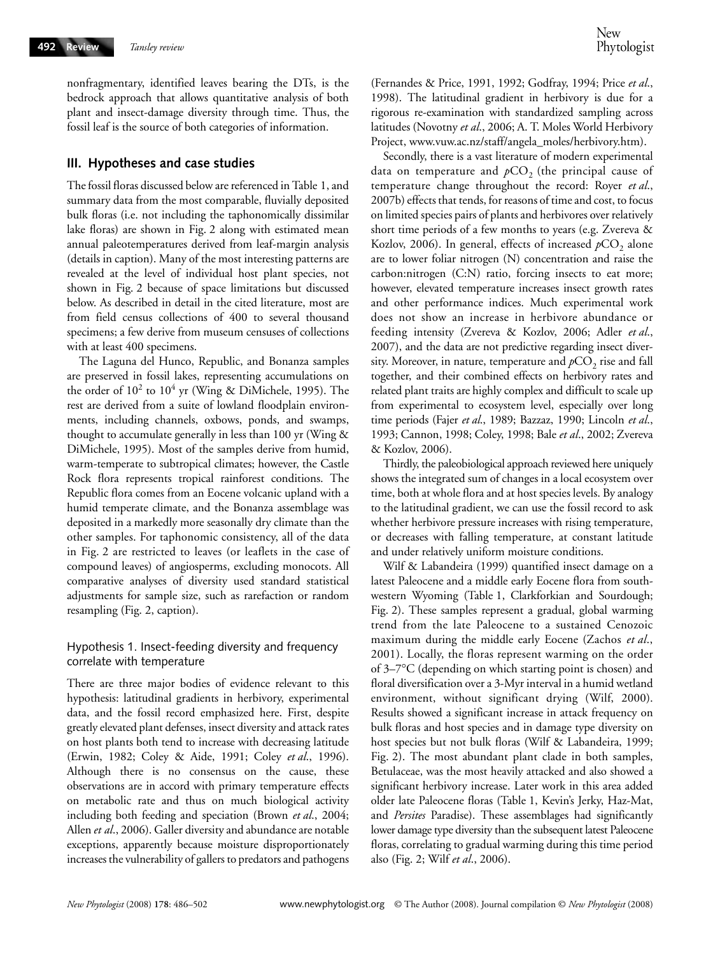nonfragmentary, identified leaves bearing the DTs, is the bedrock approach that allows quantitative analysis of both plant and insect-damage diversity through time. Thus, the fossil leaf is the source of both categories of information.

# **III. Hypotheses and case studies**

The fossil floras discussed below are referenced in Table 1, and summary data from the most comparable, fluvially deposited bulk floras (i.e. not including the taphonomically dissimilar lake floras) are shown in Fig. 2 along with estimated mean annual paleotemperatures derived from leaf-margin analysis (details in caption). Many of the most interesting patterns are revealed at the level of individual host plant species, not shown in Fig. 2 because of space limitations but discussed below. As described in detail in the cited literature, most are from field census collections of 400 to several thousand specimens; a few derive from museum censuses of collections with at least 400 specimens.

The Laguna del Hunco, Republic, and Bonanza samples are preserved in fossil lakes, representing accumulations on the order of  $10^2$  to  $10^4$  yr (Wing & DiMichele, 1995). The rest are derived from a suite of lowland floodplain environments, including channels, oxbows, ponds, and swamps, thought to accumulate generally in less than 100 yr (Wing & DiMichele, 1995). Most of the samples derive from humid, warm-temperate to subtropical climates; however, the Castle Rock flora represents tropical rainforest conditions. The Republic flora comes from an Eocene volcanic upland with a humid temperate climate, and the Bonanza assemblage was deposited in a markedly more seasonally dry climate than the other samples. For taphonomic consistency, all of the data in Fig. 2 are restricted to leaves (or leaflets in the case of compound leaves) of angiosperms, excluding monocots. All comparative analyses of diversity used standard statistical adjustments for sample size, such as rarefaction or random resampling (Fig. 2, caption).

## Hypothesis 1. Insect-feeding diversity and frequency correlate with temperature

There are three major bodies of evidence relevant to this hypothesis: latitudinal gradients in herbivory, experimental data, and the fossil record emphasized here. First, despite greatly elevated plant defenses, insect diversity and attack rates on host plants both tend to increase with decreasing latitude (Erwin, 1982; Coley & Aide, 1991; Coley *et al*., 1996). Although there is no consensus on the cause, these observations are in accord with primary temperature effects on metabolic rate and thus on much biological activity including both feeding and speciation (Brown *et al*., 2004; Allen *et al*., 2006). Galler diversity and abundance are notable exceptions, apparently because moisture disproportionately increases the vulnerability of gallers to predators and pathogens

(Fernandes & Price, 1991, 1992; Godfray, 1994; Price *et al*., 1998). The latitudinal gradient in herbivory is due for a rigorous re-examination with standardized sampling across latitudes (Novotny *et al*., 2006; A. T. Moles World Herbivory Project, [www.vuw.ac.nz/staff/angela\\_moles/herbivory.htm](http://www.vuw.ac.nz/staff/angela_moles/herbivory.htm)).

Secondly, there is a vast literature of modern experimental data on temperature and  $pCO<sub>2</sub>$  (the principal cause of temperature change throughout the record: Royer *et al*., 2007b) effects that tends, for reasons of time and cost, to focus on limited species pairs of plants and herbivores over relatively short time periods of a few months to years (e.g. Zvereva & Kozlov, 2006). In general, effects of increased  $pCO<sub>2</sub>$  alone are to lower foliar nitrogen (N) concentration and raise the carbon:nitrogen (C:N) ratio, forcing insects to eat more; however, elevated temperature increases insect growth rates and other performance indices. Much experimental work does not show an increase in herbivore abundance or feeding intensity (Zvereva & Kozlov, 2006; Adler *et al*., 2007), and the data are not predictive regarding insect diversity. Moreover, in nature, temperature and  $pCO<sub>2</sub>$  rise and fall together, and their combined effects on herbivory rates and related plant traits are highly complex and difficult to scale up from experimental to ecosystem level, especially over long time periods (Fajer *et al*., 1989; Bazzaz, 1990; Lincoln *et al*., 1993; Cannon, 1998; Coley, 1998; Bale *et al*., 2002; Zvereva & Kozlov, 2006).

Thirdly, the paleobiological approach reviewed here uniquely shows the integrated sum of changes in a local ecosystem over time, both at whole flora and at host species levels. By analogy to the latitudinal gradient, we can use the fossil record to ask whether herbivore pressure increases with rising temperature, or decreases with falling temperature, at constant latitude and under relatively uniform moisture conditions.

Wilf & Labandeira (1999) quantified insect damage on a latest Paleocene and a middle early Eocene flora from southwestern Wyoming (Table 1, Clarkforkian and Sourdough; Fig. 2). These samples represent a gradual, global warming trend from the late Paleocene to a sustained Cenozoic maximum during the middle early Eocene (Zachos *et al*., 2001). Locally, the floras represent warming on the order of 3–7°C (depending on which starting point is chosen) and floral diversification over a 3-Myr interval in a humid wetland environment, without significant drying (Wilf, 2000). Results showed a significant increase in attack frequency on bulk floras and host species and in damage type diversity on host species but not bulk floras (Wilf & Labandeira, 1999; Fig. 2). The most abundant plant clade in both samples, Betulaceae, was the most heavily attacked and also showed a significant herbivory increase. Later work in this area added older late Paleocene floras (Table 1, Kevin's Jerky, Haz-Mat, and *Persites* Paradise). These assemblages had significantly lower damage type diversity than the subsequent latest Paleocene floras, correlating to gradual warming during this time period also (Fig. 2; Wilf *et al*., 2006).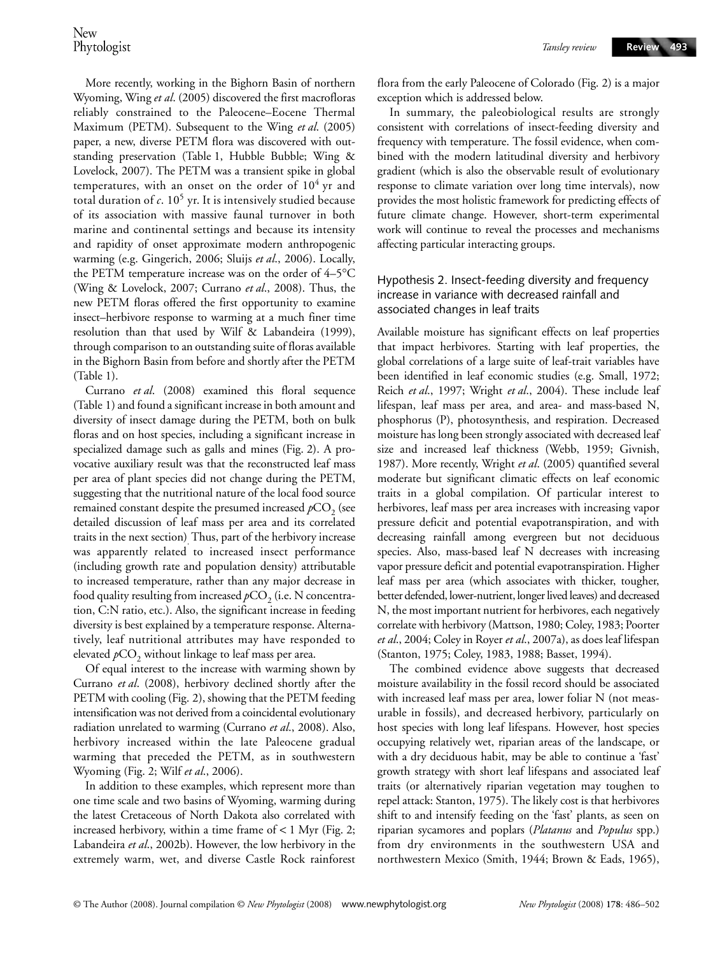More recently, working in the Bighorn Basin of northern Wyoming, Wing *et al*. (2005) discovered the first macrofloras reliably constrained to the Paleocene–Eocene Thermal Maximum (PETM). Subsequent to the Wing *et al*. (2005) paper, a new, diverse PETM flora was discovered with outstanding preservation (Table 1, Hubble Bubble; Wing & Lovelock, 2007). The PETM was a transient spike in global temperatures, with an onset on the order of 10<sup>4</sup> yr and total duration of  $c$ .  $10<sup>5</sup>$  yr. It is intensively studied because of its association with massive faunal turnover in both marine and continental settings and because its intensity and rapidity of onset approximate modern anthropogenic warming (e.g. Gingerich, 2006; Sluijs *et al*., 2006). Locally, the PETM temperature increase was on the order of 4–5°C (Wing & Lovelock, 2007; Currano *et al*., 2008). Thus, the new PETM floras offered the first opportunity to examine insect–herbivore response to warming at a much finer time resolution than that used by Wilf & Labandeira (1999), through comparison to an outstanding suite of floras available in the Bighorn Basin from before and shortly after the PETM (Table 1).

Currano *et al*. (2008) examined this floral sequence (Table 1) and found a significant increase in both amount and diversity of insect damage during the PETM, both on bulk floras and on host species, including a significant increase in specialized damage such as galls and mines (Fig. 2). A provocative auxiliary result was that the reconstructed leaf mass per area of plant species did not change during the PETM, suggesting that the nutritional nature of the local food source remained constant despite the presumed increased  $pCO<sub>2</sub>$  (see detailed discussion of leaf mass per area and its correlated traits in the next section). Thus, part of the herbivory increase was apparently related to increased insect performance (including growth rate and population density) attributable to increased temperature, rather than any major decrease in food quality resulting from increased  $pCO<sub>2</sub>$  (i.e. N concentration, C:N ratio, etc.). Also, the significant increase in feeding diversity is best explained by a temperature response. Alternatively, leaf nutritional attributes may have responded to elevated  $pCO<sub>2</sub>$  without linkage to leaf mass per area.

Of equal interest to the increase with warming shown by Currano *et al*. (2008), herbivory declined shortly after the PETM with cooling (Fig. 2), showing that the PETM feeding intensification was not derived from a coincidental evolutionary radiation unrelated to warming (Currano *et al*., 2008). Also, herbivory increased within the late Paleocene gradual warming that preceded the PETM, as in southwestern Wyoming (Fig. 2; Wilf *et al*., 2006).

In addition to these examples, which represent more than one time scale and two basins of Wyoming, warming during the latest Cretaceous of North Dakota also correlated with increased herbivory, within a time frame of  $< 1$  Myr (Fig. 2; Labandeira *et al*., 2002b). However, the low herbivory in the extremely warm, wet, and diverse Castle Rock rainforest

flora from the early Paleocene of Colorado (Fig. 2) is a major exception which is addressed below.

In summary, the paleobiological results are strongly consistent with correlations of insect-feeding diversity and frequency with temperature. The fossil evidence, when combined with the modern latitudinal diversity and herbivory gradient (which is also the observable result of evolutionary response to climate variation over long time intervals), now provides the most holistic framework for predicting effects of future climate change. However, short-term experimental work will continue to reveal the processes and mechanisms affecting particular interacting groups.

# Hypothesis 2. Insect-feeding diversity and frequency increase in variance with decreased rainfall and associated changes in leaf traits

Available moisture has significant effects on leaf properties that impact herbivores. Starting with leaf properties, the global correlations of a large suite of leaf-trait variables have been identified in leaf economic studies (e.g. Small, 1972; Reich *et al*., 1997; Wright *et al*., 2004). These include leaf lifespan, leaf mass per area, and area- and mass-based N, phosphorus (P), photosynthesis, and respiration. Decreased moisture has long been strongly associated with decreased leaf size and increased leaf thickness (Webb, 1959; Givnish, 1987). More recently, Wright *et al*. (2005) quantified several moderate but significant climatic effects on leaf economic traits in a global compilation. Of particular interest to herbivores, leaf mass per area increases with increasing vapor pressure deficit and potential evapotranspiration, and with decreasing rainfall among evergreen but not deciduous species. Also, mass-based leaf N decreases with increasing vapor pressure deficit and potential evapotranspiration. Higher leaf mass per area (which associates with thicker, tougher, better defended, lower-nutrient, longer lived leaves) and decreased N, the most important nutrient for herbivores, each negatively correlate with herbivory (Mattson, 1980; Coley, 1983; Poorter *et al*., 2004; Coley in Royer *et al*., 2007a), as does leaf lifespan (Stanton, 1975; Coley, 1983, 1988; Basset, 1994).

The combined evidence above suggests that decreased moisture availability in the fossil record should be associated with increased leaf mass per area, lower foliar N (not measurable in fossils), and decreased herbivory, particularly on host species with long leaf lifespans. However, host species occupying relatively wet, riparian areas of the landscape, or with a dry deciduous habit, may be able to continue a 'fast' growth strategy with short leaf lifespans and associated leaf traits (or alternatively riparian vegetation may toughen to repel attack: Stanton, 1975). The likely cost is that herbivores shift to and intensify feeding on the 'fast' plants, as seen on riparian sycamores and poplars (*Platanus* and *Populus* spp.) from dry environments in the southwestern USA and northwestern Mexico (Smith, 1944; Brown & Eads, 1965),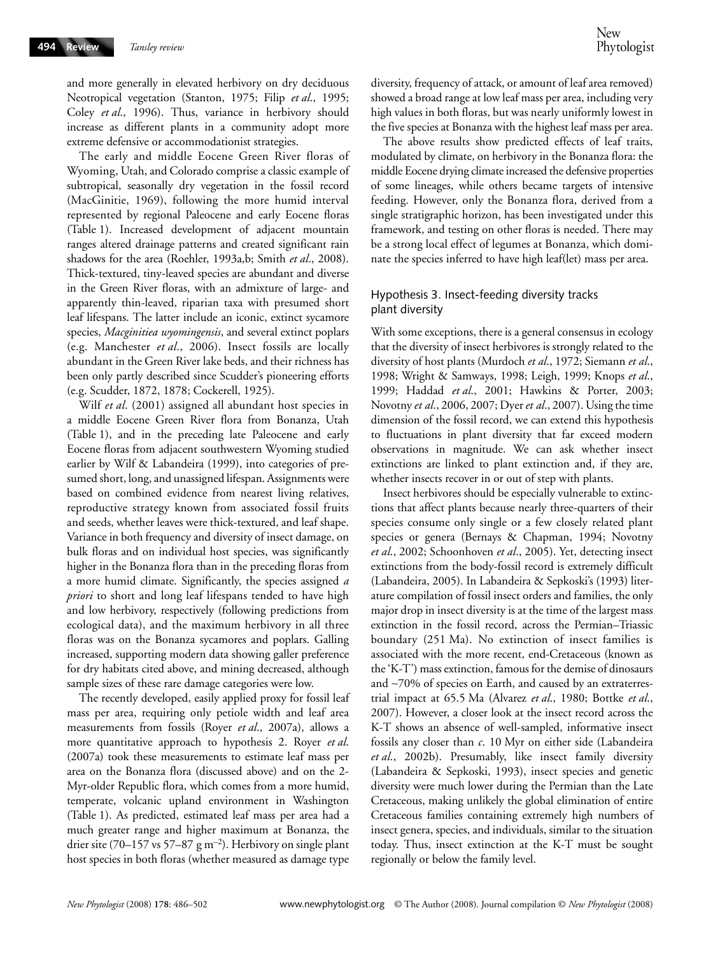and more generally in elevated herbivory on dry deciduous Neotropical vegetation (Stanton, 1975; Filip *et al*., 1995; Coley *et al*., 1996). Thus, variance in herbivory should increase as different plants in a community adopt more extreme defensive or accommodationist strategies.

The early and middle Eocene Green River floras of Wyoming, Utah, and Colorado comprise a classic example of subtropical, seasonally dry vegetation in the fossil record (MacGinitie, 1969), following the more humid interval represented by regional Paleocene and early Eocene floras (Table 1). Increased development of adjacent mountain ranges altered drainage patterns and created significant rain shadows for the area (Roehler, 1993a,b; Smith *et al*., 2008). Thick-textured, tiny-leaved species are abundant and diverse in the Green River floras, with an admixture of large- and apparently thin-leaved, riparian taxa with presumed short leaf lifespans. The latter include an iconic, extinct sycamore species, *Macginitiea wyomingensis*, and several extinct poplars (e.g. Manchester *et al*., 2006). Insect fossils are locally abundant in the Green River lake beds, and their richness has been only partly described since Scudder's pioneering efforts (e.g. Scudder, 1872, 1878; Cockerell, 1925).

Wilf *et al*. (2001) assigned all abundant host species in a middle Eocene Green River flora from Bonanza, Utah (Table 1), and in the preceding late Paleocene and early Eocene floras from adjacent southwestern Wyoming studied earlier by Wilf & Labandeira (1999), into categories of presumed short, long, and unassigned lifespan. Assignments were based on combined evidence from nearest living relatives, reproductive strategy known from associated fossil fruits and seeds, whether leaves were thick-textured, and leaf shape. Variance in both frequency and diversity of insect damage, on bulk floras and on individual host species, was significantly higher in the Bonanza flora than in the preceding floras from a more humid climate. Significantly, the species assigned *a priori* to short and long leaf lifespans tended to have high and low herbivory, respectively (following predictions from ecological data), and the maximum herbivory in all three floras was on the Bonanza sycamores and poplars. Galling increased, supporting modern data showing galler preference for dry habitats cited above, and mining decreased, although sample sizes of these rare damage categories were low.

The recently developed, easily applied proxy for fossil leaf mass per area, requiring only petiole width and leaf area measurements from fossils (Royer *et al*., 2007a), allows a more quantitative approach to hypothesis 2. Royer *et al*. (2007a) took these measurements to estimate leaf mass per area on the Bonanza flora (discussed above) and on the 2- Myr-older Republic flora, which comes from a more humid, temperate, volcanic upland environment in Washington (Table 1). As predicted, estimated leaf mass per area had a much greater range and higher maximum at Bonanza, the drier site (70–157 vs 57–87  $\rm g$  m<sup>-2</sup>). Herbivory on single plant host species in both floras (whether measured as damage type diversity, frequency of attack, or amount of leaf area removed) showed a broad range at low leaf mass per area, including very high values in both floras, but was nearly uniformly lowest in the five species at Bonanza with the highest leaf mass per area.

The above results show predicted effects of leaf traits, modulated by climate, on herbivory in the Bonanza flora: the middle Eocene drying climate increased the defensive properties of some lineages, while others became targets of intensive feeding. However, only the Bonanza flora, derived from a single stratigraphic horizon, has been investigated under this framework, and testing on other floras is needed. There may be a strong local effect of legumes at Bonanza, which dominate the species inferred to have high leaf(let) mass per area.

# Hypothesis 3. Insect-feeding diversity tracks plant diversity

With some exceptions, there is a general consensus in ecology that the diversity of insect herbivores is strongly related to the diversity of host plants (Murdoch *et al*., 1972; Siemann *et al*., 1998; Wright & Samways, 1998; Leigh, 1999; Knops *et al*., 1999; Haddad *et al*., 2001; Hawkins & Porter, 2003; Novotny *et al*., 2006, 2007; Dyer *et al*., 2007). Using the time dimension of the fossil record, we can extend this hypothesis to fluctuations in plant diversity that far exceed modern observations in magnitude. We can ask whether insect extinctions are linked to plant extinction and, if they are, whether insects recover in or out of step with plants.

Insect herbivores should be especially vulnerable to extinctions that affect plants because nearly three-quarters of their species consume only single or a few closely related plant species or genera (Bernays & Chapman, 1994; Novotny *et al*., 2002; Schoonhoven *et al*., 2005). Yet, detecting insect extinctions from the body-fossil record is extremely difficult (Labandeira, 2005). In Labandeira & Sepkoski's (1993) literature compilation of fossil insect orders and families, the only major drop in insect diversity is at the time of the largest mass extinction in the fossil record, across the Permian–Triassic boundary (251 Ma). No extinction of insect families is associated with the more recent, end-Cretaceous (known as the 'K-T') mass extinction, famous for the demise of dinosaurs and ∼70% of species on Earth, and caused by an extraterrestrial impact at 65.5 Ma (Alvarez *et al*., 1980; Bottke *et al*., 2007). However, a closer look at the insect record across the K-T shows an absence of well-sampled, informative insect fossils any closer than *c*. 10 Myr on either side (Labandeira *et al*., 2002b). Presumably, like insect family diversity (Labandeira & Sepkoski, 1993), insect species and genetic diversity were much lower during the Permian than the Late Cretaceous, making unlikely the global elimination of entire Cretaceous families containing extremely high numbers of insect genera, species, and individuals, similar to the situation today. Thus, insect extinction at the K-T must be sought regionally or below the family level.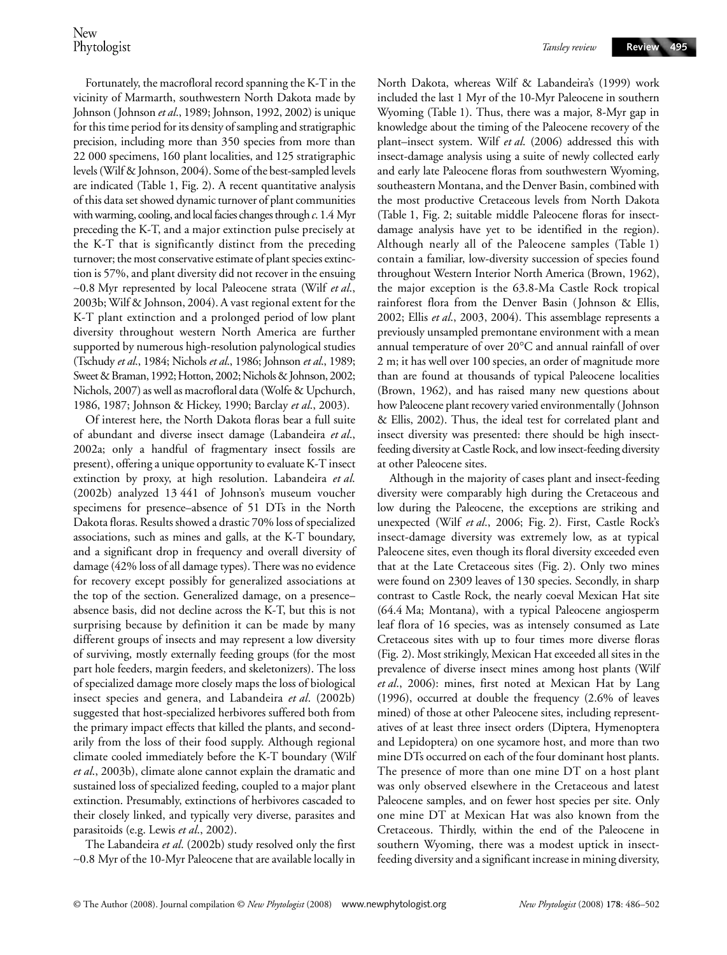Fortunately, the macrofloral record spanning the K-T in the vicinity of Marmarth, southwestern North Dakota made by Johnson (Johnson *et al*., 1989; Johnson, 1992, 2002) is unique for this time period for its density of sampling and stratigraphic precision, including more than 350 species from more than 22 000 specimens, 160 plant localities, and 125 stratigraphic levels (Wilf & Johnson, 2004). Some of the best-sampled levels are indicated (Table 1, Fig. 2). A recent quantitative analysis of this data set showed dynamic turnover of plant communities with warming, cooling, and local facies changes through *c*. 1.4 Myr preceding the K-T, and a major extinction pulse precisely at the K-T that is significantly distinct from the preceding turnover; the most conservative estimate of plant species extinction is 57%, and plant diversity did not recover in the ensuing ∼0.8 Myr represented by local Paleocene strata (Wilf *et al*., 2003b; Wilf & Johnson, 2004). A vast regional extent for the K-T plant extinction and a prolonged period of low plant diversity throughout western North America are further supported by numerous high-resolution palynological studies (Tschudy *et al*., 1984; Nichols *et al*., 1986; Johnson *et al*., 1989; Sweet & Braman, 1992; Hotton, 2002; Nichols & Johnson, 2002; Nichols, 2007) as well as macrofloral data (Wolfe & Upchurch, 1986, 1987; Johnson & Hickey, 1990; Barclay *et al*., 2003).

Of interest here, the North Dakota floras bear a full suite of abundant and diverse insect damage (Labandeira *et al*., 2002a; only a handful of fragmentary insect fossils are present), offering a unique opportunity to evaluate K-T insect extinction by proxy, at high resolution. Labandeira *et al*. (2002b) analyzed 13 441 of Johnson's museum voucher specimens for presence–absence of 51 DTs in the North Dakota floras. Results showed a drastic 70% loss of specialized associations, such as mines and galls, at the K-T boundary, and a significant drop in frequency and overall diversity of damage (42% loss of all damage types). There was no evidence for recovery except possibly for generalized associations at the top of the section. Generalized damage, on a presence– absence basis, did not decline across the K-T, but this is not surprising because by definition it can be made by many different groups of insects and may represent a low diversity of surviving, mostly externally feeding groups (for the most part hole feeders, margin feeders, and skeletonizers). The loss of specialized damage more closely maps the loss of biological insect species and genera, and Labandeira *et al*. (2002b) suggested that host-specialized herbivores suffered both from the primary impact effects that killed the plants, and secondarily from the loss of their food supply. Although regional climate cooled immediately before the K-T boundary (Wilf *et al*., 2003b), climate alone cannot explain the dramatic and sustained loss of specialized feeding, coupled to a major plant extinction. Presumably, extinctions of herbivores cascaded to their closely linked, and typically very diverse, parasites and parasitoids (e.g. Lewis *et al*., 2002).

The Labandeira *et al*. (2002b) study resolved only the first ∼0.8 Myr of the 10-Myr Paleocene that are available locally in North Dakota, whereas Wilf & Labandeira's (1999) work included the last 1 Myr of the 10-Myr Paleocene in southern Wyoming (Table 1). Thus, there was a major, 8-Myr gap in knowledge about the timing of the Paleocene recovery of the plant–insect system. Wilf *et al*. (2006) addressed this with insect-damage analysis using a suite of newly collected early and early late Paleocene floras from southwestern Wyoming, southeastern Montana, and the Denver Basin, combined with the most productive Cretaceous levels from North Dakota (Table 1, Fig. 2; suitable middle Paleocene floras for insectdamage analysis have yet to be identified in the region). Although nearly all of the Paleocene samples (Table 1) contain a familiar, low-diversity succession of species found throughout Western Interior North America (Brown, 1962), the major exception is the 63.8-Ma Castle Rock tropical rainforest flora from the Denver Basin (Johnson & Ellis, 2002; Ellis *et al*., 2003, 2004). This assemblage represents a previously unsampled premontane environment with a mean annual temperature of over 20°C and annual rainfall of over 2 m; it has well over 100 species, an order of magnitude more than are found at thousands of typical Paleocene localities (Brown, 1962), and has raised many new questions about how Paleocene plant recovery varied environmentally (Johnson & Ellis, 2002). Thus, the ideal test for correlated plant and insect diversity was presented: there should be high insectfeeding diversity at Castle Rock, and low insect-feeding diversity at other Paleocene sites.

Although in the majority of cases plant and insect-feeding diversity were comparably high during the Cretaceous and low during the Paleocene, the exceptions are striking and unexpected (Wilf *et al*., 2006; Fig. 2). First, Castle Rock's insect-damage diversity was extremely low, as at typical Paleocene sites, even though its floral diversity exceeded even that at the Late Cretaceous sites (Fig. 2). Only two mines were found on 2309 leaves of 130 species. Secondly, in sharp contrast to Castle Rock, the nearly coeval Mexican Hat site (64.4 Ma; Montana), with a typical Paleocene angiosperm leaf flora of 16 species, was as intensely consumed as Late Cretaceous sites with up to four times more diverse floras (Fig. 2). Most strikingly, Mexican Hat exceeded all sites in the prevalence of diverse insect mines among host plants (Wilf *et al*., 2006): mines, first noted at Mexican Hat by Lang (1996), occurred at double the frequency (2.6% of leaves mined) of those at other Paleocene sites, including representatives of at least three insect orders (Diptera, Hymenoptera and Lepidoptera) on one sycamore host, and more than two mine DTs occurred on each of the four dominant host plants. The presence of more than one mine DT on a host plant was only observed elsewhere in the Cretaceous and latest Paleocene samples, and on fewer host species per site. Only one mine DT at Mexican Hat was also known from the Cretaceous. Thirdly, within the end of the Paleocene in southern Wyoming, there was a modest uptick in insectfeeding diversity and a significant increase in mining diversity,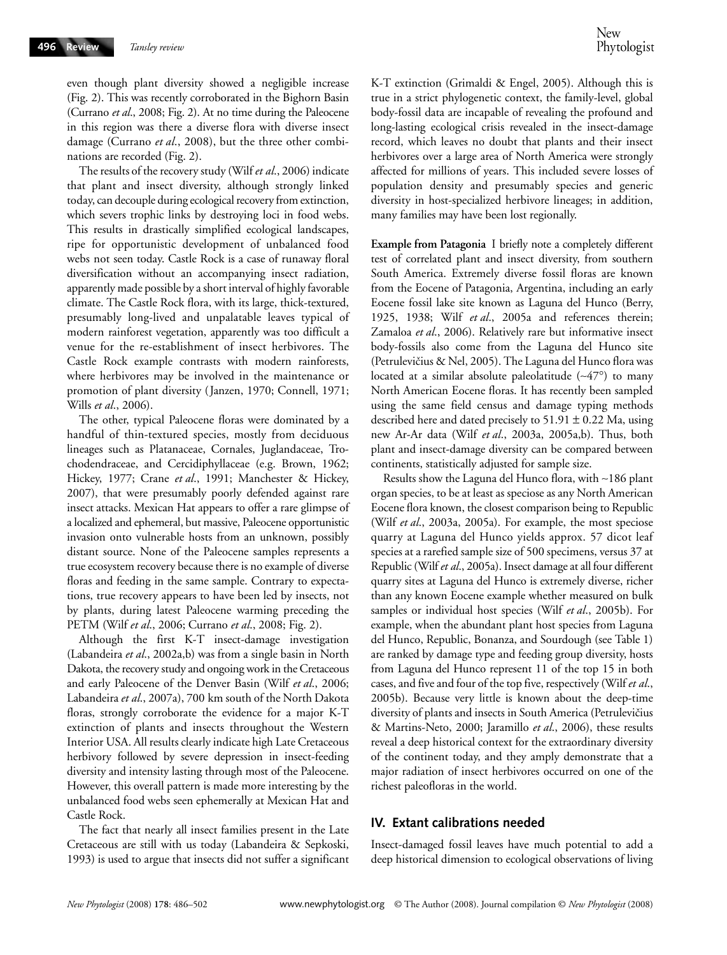even though plant diversity showed a negligible increase (Fig. 2). This was recently corroborated in the Bighorn Basin (Currano *et al*., 2008; Fig. 2). At no time during the Paleocene in this region was there a diverse flora with diverse insect damage (Currano *et al*., 2008), but the three other combinations are recorded (Fig. 2).

The results of the recovery study (Wilf *et al*., 2006) indicate that plant and insect diversity, although strongly linked today, can decouple during ecological recovery from extinction, which severs trophic links by destroying loci in food webs. This results in drastically simplified ecological landscapes, ripe for opportunistic development of unbalanced food webs not seen today. Castle Rock is a case of runaway floral diversification without an accompanying insect radiation, apparently made possible by a short interval of highly favorable climate. The Castle Rock flora, with its large, thick-textured, presumably long-lived and unpalatable leaves typical of modern rainforest vegetation, apparently was too difficult a venue for the re-establishment of insect herbivores. The Castle Rock example contrasts with modern rainforests, where herbivores may be involved in the maintenance or promotion of plant diversity (Janzen, 1970; Connell, 1971; Wills *et al*., 2006).

The other, typical Paleocene floras were dominated by a handful of thin-textured species, mostly from deciduous lineages such as Platanaceae, Cornales, Juglandaceae, Trochodendraceae, and Cercidiphyllaceae (e.g. Brown, 1962; Hickey, 1977; Crane *et al*., 1991; Manchester & Hickey, 2007), that were presumably poorly defended against rare insect attacks. Mexican Hat appears to offer a rare glimpse of a localized and ephemeral, but massive, Paleocene opportunistic invasion onto vulnerable hosts from an unknown, possibly distant source. None of the Paleocene samples represents a true ecosystem recovery because there is no example of diverse floras and feeding in the same sample. Contrary to expectations, true recovery appears to have been led by insects, not by plants, during latest Paleocene warming preceding the PETM (Wilf *et al*., 2006; Currano *et al*., 2008; Fig. 2).

Although the first K-T insect-damage investigation (Labandeira *et al*., 2002a,b) was from a single basin in North Dakota, the recovery study and ongoing work in the Cretaceous and early Paleocene of the Denver Basin (Wilf *et al*., 2006; Labandeira *et al*., 2007a), 700 km south of the North Dakota floras, strongly corroborate the evidence for a major K-T extinction of plants and insects throughout the Western Interior USA. All results clearly indicate high Late Cretaceous herbivory followed by severe depression in insect-feeding diversity and intensity lasting through most of the Paleocene. However, this overall pattern is made more interesting by the unbalanced food webs seen ephemerally at Mexican Hat and Castle Rock.

The fact that nearly all insect families present in the Late Cretaceous are still with us today (Labandeira & Sepkoski, 1993) is used to argue that insects did not suffer a significant

K-T extinction (Grimaldi & Engel, 2005). Although this is true in a strict phylogenetic context, the family-level, global body-fossil data are incapable of revealing the profound and long-lasting ecological crisis revealed in the insect-damage record, which leaves no doubt that plants and their insect herbivores over a large area of North America were strongly affected for millions of years. This included severe losses of population density and presumably species and generic diversity in host-specialized herbivore lineages; in addition, many families may have been lost regionally.

**Example from Patagonia** I briefly note a completely different test of correlated plant and insect diversity, from southern South America. Extremely diverse fossil floras are known from the Eocene of Patagonia, Argentina, including an early Eocene fossil lake site known as Laguna del Hunco (Berry, 1925, 1938; Wilf *et al*., 2005a and references therein; Zamaloa *et al*., 2006). Relatively rare but informative insect body-fossils also come from the Laguna del Hunco site (Petrulevičius & Nel, 2005). The Laguna del Hunco flora was located at a similar absolute paleolatitude (∼47°) to many North American Eocene floras. It has recently been sampled using the same field census and damage typing methods described here and dated precisely to  $51.91 \pm 0.22$  Ma, using new Ar-Ar data (Wilf *et al*., 2003a, 2005a,b). Thus, both plant and insect-damage diversity can be compared between continents, statistically adjusted for sample size.

Results show the Laguna del Hunco flora, with ∼186 plant organ species, to be at least as speciose as any North American Eocene flora known, the closest comparison being to Republic (Wilf *et al*., 2003a, 2005a). For example, the most speciose quarry at Laguna del Hunco yields approx. 57 dicot leaf species at a rarefied sample size of 500 specimens, versus 37 at Republic (Wilf *et al*., 2005a). Insect damage at all four different quarry sites at Laguna del Hunco is extremely diverse, richer than any known Eocene example whether measured on bulk samples or individual host species (Wilf *et al*., 2005b). For example, when the abundant plant host species from Laguna del Hunco, Republic, Bonanza, and Sourdough (see Table 1) are ranked by damage type and feeding group diversity, hosts from Laguna del Hunco represent 11 of the top 15 in both cases, and five and four of the top five, respectively (Wilf *et al*., 2005b). Because very little is known about the deep-time diversity of plants and insects in South America (Petrulevičius & Martins-Neto, 2000; Jaramillo *et al*., 2006), these results reveal a deep historical context for the extraordinary diversity of the continent today, and they amply demonstrate that a major radiation of insect herbivores occurred on one of the richest paleofloras in the world.

# **IV. Extant calibrations needed**

Insect-damaged fossil leaves have much potential to add a deep historical dimension to ecological observations of living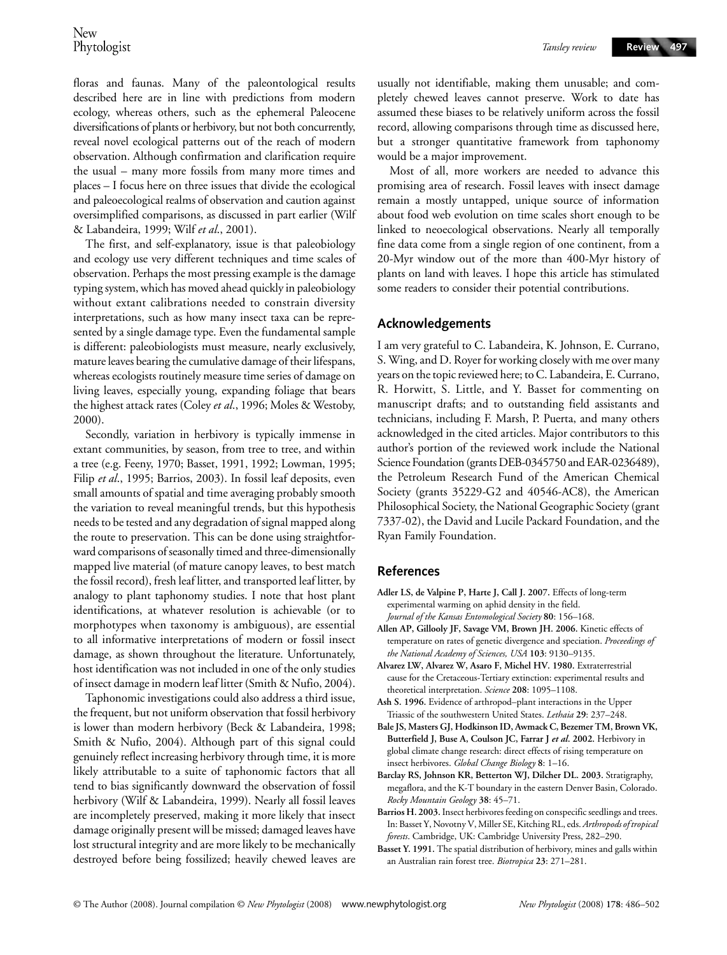floras and faunas. Many of the paleontological results described here are in line with predictions from modern ecology, whereas others, such as the ephemeral Paleocene diversifications of plants or herbivory, but not both concurrently, reveal novel ecological patterns out of the reach of modern observation. Although confirmation and clarification require the usual – many more fossils from many more times and places – I focus here on three issues that divide the ecological and paleoecological realms of observation and caution against oversimplified comparisons, as discussed in part earlier (Wilf & Labandeira, 1999; Wilf *et al*., 2001).

The first, and self-explanatory, issue is that paleobiology and ecology use very different techniques and time scales of observation. Perhaps the most pressing example is the damage typing system, which has moved ahead quickly in paleobiology without extant calibrations needed to constrain diversity interpretations, such as how many insect taxa can be represented by a single damage type. Even the fundamental sample is different: paleobiologists must measure, nearly exclusively, mature leaves bearing the cumulative damage of their lifespans, whereas ecologists routinely measure time series of damage on living leaves, especially young, expanding foliage that bears the highest attack rates (Coley *et al*., 1996; Moles & Westoby, 2000).

Secondly, variation in herbivory is typically immense in extant communities, by season, from tree to tree, and within a tree (e.g. Feeny, 1970; Basset, 1991, 1992; Lowman, 1995; Filip *et al*., 1995; Barrios, 2003). In fossil leaf deposits, even small amounts of spatial and time averaging probably smooth the variation to reveal meaningful trends, but this hypothesis needs to be tested and any degradation of signal mapped along the route to preservation. This can be done using straightforward comparisons of seasonally timed and three-dimensionally mapped live material (of mature canopy leaves, to best match the fossil record), fresh leaf litter, and transported leaf litter, by analogy to plant taphonomy studies. I note that host plant identifications, at whatever resolution is achievable (or to morphotypes when taxonomy is ambiguous), are essential to all informative interpretations of modern or fossil insect damage, as shown throughout the literature. Unfortunately, host identification was not included in one of the only studies of insect damage in modern leaf litter (Smith & Nufio, 2004).

Taphonomic investigations could also address a third issue, the frequent, but not uniform observation that fossil herbivory is lower than modern herbivory (Beck & Labandeira, 1998; Smith & Nufio, 2004). Although part of this signal could genuinely reflect increasing herbivory through time, it is more likely attributable to a suite of taphonomic factors that all tend to bias significantly downward the observation of fossil herbivory (Wilf & Labandeira, 1999). Nearly all fossil leaves are incompletely preserved, making it more likely that insect damage originally present will be missed; damaged leaves have lost structural integrity and are more likely to be mechanically destroyed before being fossilized; heavily chewed leaves are

usually not identifiable, making them unusable; and completely chewed leaves cannot preserve. Work to date has assumed these biases to be relatively uniform across the fossil record, allowing comparisons through time as discussed here, but a stronger quantitative framework from taphonomy would be a major improvement.

Most of all, more workers are needed to advance this promising area of research. Fossil leaves with insect damage remain a mostly untapped, unique source of information about food web evolution on time scales short enough to be linked to neoecological observations. Nearly all temporally fine data come from a single region of one continent, from a 20-Myr window out of the more than 400-Myr history of plants on land with leaves. I hope this article has stimulated some readers to consider their potential contributions.

# **Acknowledgements**

I am very grateful to C. Labandeira, K. Johnson, E. Currano, S. Wing, and D. Royer for working closely with me over many years on the topic reviewed here; to C. Labandeira, E. Currano, R. Horwitt, S. Little, and Y. Basset for commenting on manuscript drafts; and to outstanding field assistants and technicians, including F. Marsh, P. Puerta, and many others acknowledged in the cited articles. Major contributors to this author's portion of the reviewed work include the National Science Foundation (grants DEB-0345750 and EAR-0236489), the Petroleum Research Fund of the American Chemical Society (grants 35229-G2 and 40546-AC8), the American Philosophical Society, the National Geographic Society (grant 7337-02), the David and Lucile Packard Foundation, and the Ryan Family Foundation.

### **References**

- **Adler LS, de Valpine P, Harte J, Call J. 2007.** Effects of long-term experimental warming on aphid density in the field. *Journal of the Kansas Entomological Society* **80**: 156–168.
- **Allen AP, Gillooly JF, Savage VM, Brown JH. 2006.** Kinetic effects of temperature on rates of genetic divergence and speciation. *Proceedings of the National Academy of Sciences, USA* **103**: 9130–9135.
- **Alvarez LW, Alvarez W, Asaro F, Michel HV. 1980.** Extraterrestrial cause for the Cretaceous-Tertiary extinction: experimental results and theoretical interpretation. *Science* **208**: 1095–1108.
- **Ash S. 1996.** Evidence of arthropod–plant interactions in the Upper Triassic of the southwestern United States. *Lethaia* **29**: 237–248.
- **Bale JS, Masters GJ, Hodkinson ID, Awmack C, Bezemer TM, Brown VK, Butterfield J, Buse A, Coulson JC, Farrar J** *et al***. 2002.** Herbivory in global climate change research: direct effects of rising temperature on insect herbivores. *Global Change Biology* **8**: 1–16.
- **Barclay RS, Johnson KR, Betterton WJ, Dilcher DL. 2003.** Stratigraphy, megaflora, and the K-T boundary in the eastern Denver Basin, Colorado. *Rocky Mountain Geology* **38**: 45–71.
- **Barrios H. 2003.** Insect herbivores feeding on conspecific seedlings and trees. In: Basset Y, Novotny V, Miller SE, Kitching RL, eds. *Arthropods of tropical forests*. Cambridge, UK: Cambridge University Press, 282–290.
- **Basset Y. 1991.** The spatial distribution of herbivory, mines and galls within an Australian rain forest tree. *Biotropica* **23**: 271–281.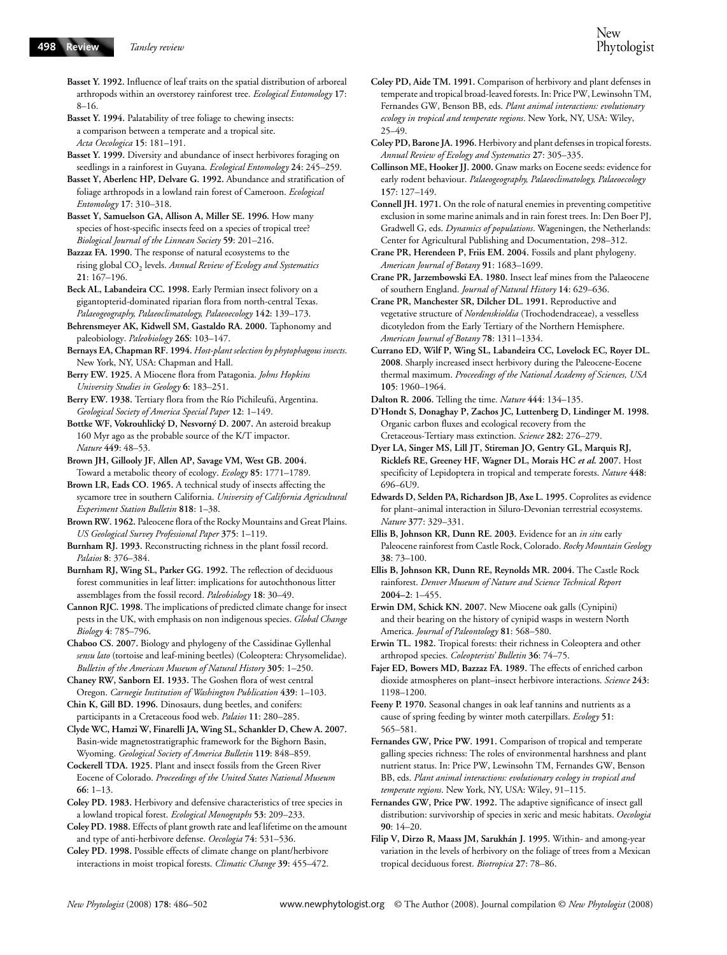- **Basset Y. 1992.** Influence of leaf traits on the spatial distribution of arboreal arthropods within an overstorey rainforest tree. *Ecological Entomology* **17**: 8–16.
- **Basset Y. 1994.** Palatability of tree foliage to chewing insects: a comparison between a temperate and a tropical site. *Acta Oecologica* **15**: 181–191.
- **Basset Y. 1999.** Diversity and abundance of insect herbivores foraging on seedlings in a rainforest in Guyana. *Ecological Entomology* **24**: 245–259.
- **Basset Y, Aberlenc HP, Delvare G. 1992.** Abundance and stratification of foliage arthropods in a lowland rain forest of Cameroon. *Ecological Entomology* **17**: 310–318.
- **Basset Y, Samuelson GA, Allison A, Miller SE. 1996.** How many species of host-specific insects feed on a species of tropical tree? *Biological Journal of the Linnean Society* **59**: 201–216.
- **Bazzaz FA. 1990.** The response of natural ecosystems to the rising global CO<sub>2</sub> levels. *Annual Review of Ecology and Systematics* **21**: 167–196.
- **Beck AL, Labandeira CC. 1998.** Early Permian insect folivory on a gigantopterid-dominated riparian flora from north-central Texas. *Palaeogeography, Palaeoclimatology, Palaeoecology* **142**: 139–173.
- **Behrensmeyer AK, Kidwell SM, Gastaldo RA. 2000.** Taphonomy and paleobiology. *Paleobiology* **26S**: 103–147.
- **Bernays EA, Chapman RF. 1994.** *Host-plant selection by phytophagous insects*. New York, NY, USA: Chapman and Hall.
- **Berry EW. 1925.** A Miocene flora from Patagonia. *Johns Hopkins University Studies in Geology* **6**: 183–251.
- **Berry EW. 1938.** Tertiary flora from the Río Pichileufú, Argentina. *Geological Society of America Special Paper* **12**: 1–149.
- **Bottke WF, Vokrouhlický D, Nesvorný D. 2007.** An asteroid breakup 160 Myr ago as the probable source of the K/T impactor. *Nature* **449**: 48–53.
- **Brown JH, Gillooly JF, Allen AP, Savage VM, West GB. 2004.**  Toward a metabolic theory of ecology. *Ecology* **85**: 1771–1789.
- **Brown LR, Eads CO. 1965.** A technical study of insects affecting the sycamore tree in southern California. *University of California Agricultural Experiment Station Bulletin* **818**: 1–38.
- **Brown RW. 1962.** Paleocene flora of the Rocky Mountains and Great Plains. *US Geological Survey Professional Paper* **375**: 1–119.
- **Burnham RJ. 1993.** Reconstructing richness in the plant fossil record. *Palaios* **8**: 376–384.
- **Burnham RJ, Wing SL, Parker GG. 1992.** The reflection of deciduous forest communities in leaf litter: implications for autochthonous litter assemblages from the fossil record. *Paleobiology* **18**: 30–49.
- **Cannon RJC. 1998.** The implications of predicted climate change for insect pests in the UK, with emphasis on non indigenous species. *Global Change Biology* **4**: 785–796.
- **Chaboo CS. 2007.** Biology and phylogeny of the Cassidinae Gyllenhal *sensu lato* (tortoise and leaf-mining beetles) (Coleoptera: Chrysomelidae). *Bulletin of the American Museum of Natural History* **305**: 1–250.
- **Chaney RW, Sanborn EI. 1933.** The Goshen flora of west central Oregon. *Carnegie Institution of Washington Publication* **439**: 1–103.
- **Chin K, Gill BD. 1996.** Dinosaurs, dung beetles, and conifers: participants in a Cretaceous food web. *Palaios* **11**: 280–285.
- **Clyde WC, Hamzi W, Finarelli JA, Wing SL, Schankler D, Chew A. 2007.**  Basin-wide magnetostratigraphic framework for the Bighorn Basin, Wyoming. *Geological Society of America Bulletin* **119**: 848–859.
- **Cockerell TDA. 1925.** Plant and insect fossils from the Green River Eocene of Colorado. *Proceedings of the United States National Museum* **66**: 1–13.
- **Coley PD. 1983.** Herbivory and defensive characteristics of tree species in a lowland tropical forest. *Ecological Monographs* **53**: 209–233.
- **Coley PD. 1988.** Effects of plant growth rate and leaf lifetime on the amount and type of anti-herbivore defense. *Oecologia* **74**: 531–536.
- **Coley PD. 1998.** Possible effects of climate change on plant/herbivore interactions in moist tropical forests. *Climatic Change* **39**: 455–472.
- **Coley PD, Aide TM. 1991.** Comparison of herbivory and plant defenses in temperate and tropical broad-leaved forests. In: Price PW, Lewinsohn TM, Fernandes GW, Benson BB, eds. *Plant animal interactions: evolutionary ecology in tropical and temperate regions*. New York, NY, USA: Wiley, 25–49.
- **Coley PD, Barone JA. 1996.** Herbivory and plant defenses in tropical forests. *Annual Review of Ecology and Systematics* **27**: 305–335.
- **Collinson ME, Hooker JJ. 2000.** Gnaw marks on Eocene seeds: evidence for early rodent behaviour. *Palaeogeography, Palaeoclimatology, Palaeoecology* **157**: 127–149.
- **Connell JH. 1971.** On the role of natural enemies in preventing competitive exclusion in some marine animals and in rain forest trees. In: Den Boer PJ, Gradwell G, eds. *Dynamics of populations*. Wageningen, the Netherlands: Center for Agricultural Publishing and Documentation, 298–312.
- **Crane PR, Herendeen P, Friis EM. 2004.** Fossils and plant phylogeny. *American Journal of Botany* **91**: 1683–1699.
- **Crane PR, Jarzembowski EA. 1980.** Insect leaf mines from the Palaeocene of southern England. *Journal of Natural History* **14**: 629–636.
- **Crane PR, Manchester SR, Dilcher DL. 1991.** Reproductive and vegetative structure of *Nordenskioldia* (Trochodendraceae), a vesselless dicotyledon from the Early Tertiary of the Northern Hemisphere. *American Journal of Botany* **78**: 1311–1334.
- **Currano ED, Wilf P, Wing SL, Labandeira CC, Lovelock EC, Royer DL. 2008**. Sharply increased insect herbivory during the Paleocene-Eocene thermal maximum. *Proceedings of the National Academy of Sciences, USA* **105**: 1960–1964.
- **Dalton R. 2006.** Telling the time. *Nature* **444**: 134–135.
- **D'Hondt S, Donaghay P, Zachos JC, Luttenberg D, Lindinger M. 1998.**  Organic carbon fluxes and ecological recovery from the Cretaceous-Tertiary mass extinction. *Science* **282**: 276–279.
- **Dyer LA, Singer MS, Lill JT, Stireman JO, Gentry GL, Marquis RJ, Ricklefs RE, Greeney HF, Wagner DL, Morais HC** *et al***. 2007.** Host specificity of Lepidoptera in tropical and temperate forests. *Nature* **448**: 696–6U9.
- **Edwards D, Selden PA, Richardson JB, Axe L. 1995.** Coprolites as evidence for plant–animal interaction in Siluro-Devonian terrestrial ecosystems. *Nature* **377**: 329–331.
- **Ellis B, Johnson KR, Dunn RE. 2003.** Evidence for an *in situ* early Paleocene rainforest from Castle Rock, Colorado. *Rocky Mountain Geology* **38**: 73–100.
- **Ellis B, Johnson KR, Dunn RE, Reynolds MR. 2004.** The Castle Rock rainforest. *Denver Museum of Nature and Science Technical Report* **2004–2**: 1–455.
- **Erwin DM, Schick KN. 2007.** New Miocene oak galls (Cynipini) and their bearing on the history of cynipid wasps in western North America. *Journal of Paleontology* **81**: 568–580.
- **Erwin TL. 1982.** Tropical forests: their richness in Coleoptera and other arthropod species. *Coleopterists' Bulletin* **36**: 74–75.
- **Fajer ED, Bowers MD, Bazzaz FA. 1989.** The effects of enriched carbon dioxide atmospheres on plant–insect herbivore interactions. *Science* **243**: 1198–1200.
- **Feeny P. 1970.** Seasonal changes in oak leaf tannins and nutrients as a cause of spring feeding by winter moth caterpillars. *Ecology* **51**: 565–581.
- **Fernandes GW, Price PW. 1991.** Comparison of tropical and temperate galling species richness: The roles of environmental harshness and plant nutrient status. In: Price PW, Lewinsohn TM, Fernandes GW, Benson BB, eds. *Plant animal interactions: evolutionary ecology in tropical and temperate regions*. New York, NY, USA: Wiley, 91–115.
- **Fernandes GW, Price PW. 1992.** The adaptive significance of insect gall distribution: survivorship of species in xeric and mesic habitats. *Oecologia* **90**: 14–20.
- **Filip V, Dirzo R, Maass JM, Sarukhán J. 1995.** Within- and among-year variation in the levels of herbivory on the foliage of trees from a Mexican tropical deciduous forest. *Biotropica* **27**: 78–86.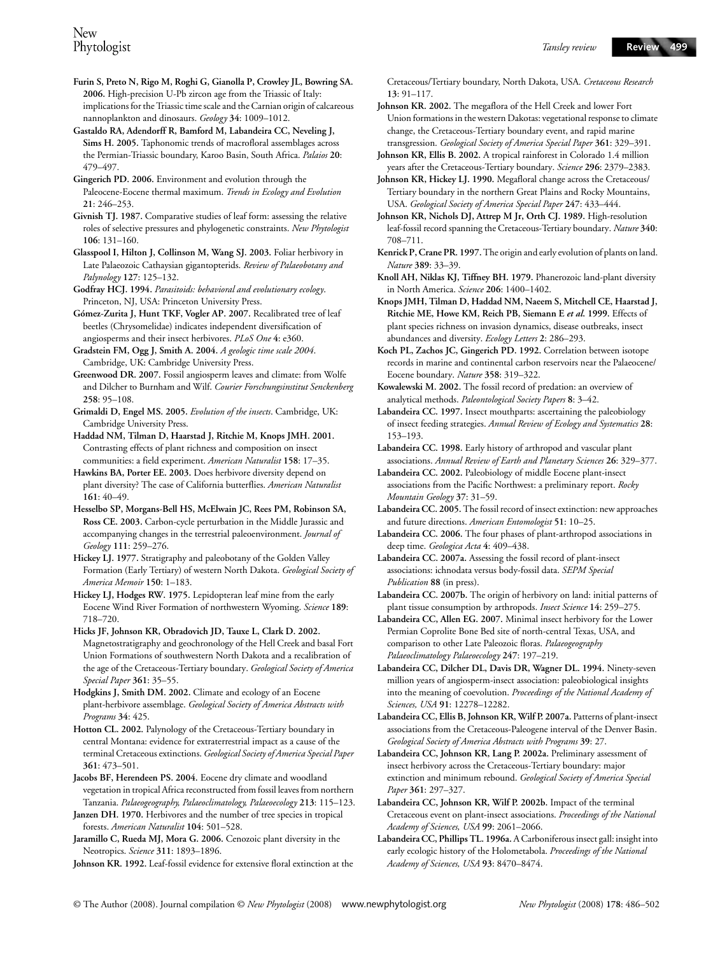**Furin S, Preto N, Rigo M, Roghi G, Gianolla P, Crowley JL, Bowring SA. 2006.** High-precision U-Pb zircon age from the Triassic of Italy: implications for the Triassic time scale and the Carnian origin of calcareous nannoplankton and dinosaurs. *Geology* **34**: 1009–1012.

**Gastaldo RA, Adendorff R, Bamford M, Labandeira CC, Neveling J, Sims H. 2005.** Taphonomic trends of macrofloral assemblages across the Permian-Triassic boundary, Karoo Basin, South Africa. *Palaios* **20**: 479–497.

**Gingerich PD. 2006.** Environment and evolution through the Paleocene-Eocene thermal maximum. *Trends in Ecology and Evolution* **21**: 246–253.

**Givnish TJ. 1987.** Comparative studies of leaf form: assessing the relative roles of selective pressures and phylogenetic constraints. *New Phytologist* **106**: 131–160.

**Glasspool I, Hilton J, Collinson M, Wang SJ. 2003.** Foliar herbivory in Late Palaeozoic Cathaysian gigantopterids. *Review of Palaeobotany and Palynology* **127**: 125–132.

**Godfray HCJ. 1994.** *Parasitoids: behavioral and evolutionary ecology*. Princeton, NJ, USA: Princeton University Press.

**Gómez-Zurita J, Hunt TKF, Vogler AP. 2007.** Recalibrated tree of leaf beetles (Chrysomelidae) indicates independent diversification of angiosperms and their insect herbivores. *PLoS One* **4**: e360.

**Gradstein FM, Ogg J, Smith A. 2004.** *A geologic time scale 2004*. Cambridge, UK: Cambridge University Press.

**Greenwood DR. 2007.** Fossil angiosperm leaves and climate: from Wolfe and Dilcher to Burnham and Wilf. *Courier Forschungsinstitut Senckenberg* **258**: 95–108.

**Grimaldi D, Engel MS. 2005.** *Evolution of the insects*. Cambridge, UK: Cambridge University Press.

**Haddad NM, Tilman D, Haarstad J, Ritchie M, Knops JMH. 2001.**  Contrasting effects of plant richness and composition on insect communities: a field experiment. *American Naturalist* **158**: 17–35.

**Hawkins BA, Porter EE. 2003.** Does herbivore diversity depend on plant diversity? The case of California butterflies. *American Naturalist* **161**: 40–49.

**Hesselbo SP, Morgans-Bell HS, McElwain JC, Rees PM, Robinson SA, Ross CE. 2003.** Carbon-cycle perturbation in the Middle Jurassic and accompanying changes in the terrestrial paleoenvironment. *Journal of Geology* **111**: 259–276.

**Hickey LJ. 1977.** Stratigraphy and paleobotany of the Golden Valley Formation (Early Tertiary) of western North Dakota. *Geological Society of America Memoir* **150**: 1–183.

**Hickey LJ, Hodges RW. 1975.** Lepidopteran leaf mine from the early Eocene Wind River Formation of northwestern Wyoming. *Science* **189**: 718–720.

**Hicks JF, Johnson KR, Obradovich JD, Tauxe L, Clark D. 2002.**  Magnetostratigraphy and geochronology of the Hell Creek and basal Fort Union Formations of southwestern North Dakota and a recalibration of the age of the Cretaceous-Tertiary boundary. *Geological Society of America Special Paper* **361**: 35–55.

**Hodgkins J, Smith DM. 2002.** Climate and ecology of an Eocene plant-herbivore assemblage. *Geological Society of America Abstracts with Programs* **34**: 425.

**Hotton CL. 2002.** Palynology of the Cretaceous-Tertiary boundary in central Montana: evidence for extraterrestrial impact as a cause of the terminal Cretaceous extinctions. *Geological Society of America Special Paper* **361**: 473–501.

**Jacobs BF, Herendeen PS. 2004.** Eocene dry climate and woodland vegetation in tropical Africa reconstructed from fossil leaves from northern Tanzania. *Palaeogeography, Palaeoclimatology, Palaeoecology* **213**: 115–123.

**Janzen DH. 1970.** Herbivores and the number of tree species in tropical forests. *American Naturalist* **104**: 501–528.

**Jaramillo C, Rueda MJ, Mora G. 2006.** Cenozoic plant diversity in the Neotropics. *Science* **311**: 1893–1896.

**Johnson KR. 1992.** Leaf-fossil evidence for extensive floral extinction at the

Cretaceous/Tertiary boundary, North Dakota, USA. *Cretaceous Research* **13**: 91–117.

**Johnson KR. 2002.** The megaflora of the Hell Creek and lower Fort Union formations in the western Dakotas: vegetational response to climate change, the Cretaceous-Tertiary boundary event, and rapid marine transgression. *Geological Society of America Special Paper* **361**: 329–391.

**Johnson KR, Ellis B. 2002.** A tropical rainforest in Colorado 1.4 million years after the Cretaceous-Tertiary boundary. *Science* **296**: 2379–2383.

**Johnson KR, Hickey LJ. 1990.** Megafloral change across the Cretaceous/ Tertiary boundary in the northern Great Plains and Rocky Mountains, USA. *Geological Society of America Special Paper* **247**: 433–444.

**Johnson KR, Nichols DJ, Attrep M Jr, Orth CJ. 1989.** High-resolution leaf-fossil record spanning the Cretaceous-Tertiary boundary. *Nature* **340**: 708–711.

**Kenrick P, Crane PR. 1997.** The origin and early evolution of plants on land. *Nature* **389**: 33–39.

**Knoll AH, Niklas KJ, Tiffney BH. 1979.** Phanerozoic land-plant diversity in North America. *Science* **206**: 1400–1402.

**Knops JMH, Tilman D, Haddad NM, Naeem S, Mitchell CE, Haarstad J, Ritchie ME, Howe KM, Reich PB, Siemann E** *et al***. 1999.** Effects of plant species richness on invasion dynamics, disease outbreaks, insect abundances and diversity. *Ecology Letters* **2**: 286–293.

**Koch PL, Zachos JC, Gingerich PD. 1992.** Correlation between isotope records in marine and continental carbon reservoirs near the Palaeocene/ Eocene boundary. *Nature* **358**: 319–322.

**Kowalewski M. 2002.** The fossil record of predation: an overview of analytical methods. *Paleontological Society Papers* **8**: 3–42.

**Labandeira CC. 1997.** Insect mouthparts: ascertaining the paleobiology of insect feeding strategies. *Annual Review of Ecology and Systematics* **28**: 153–193.

**Labandeira CC. 1998.** Early history of arthropod and vascular plant associations. *Annual Review of Earth and Planetary Sciences* **26**: 329–377.

**Labandeira CC. 2002.** Paleobiology of middle Eocene plant-insect associations from the Pacific Northwest: a preliminary report. *Rocky Mountain Geology* **37**: 31–59.

**Labandeira CC. 2005.** The fossil record of insect extinction: new approaches and future directions. *American Entomologist* **51**: 10–25.

**Labandeira CC. 2006.** The four phases of plant-arthropod associations in deep time. *Geologica Acta* **4**: 409–438.

**Labandeira CC. 2007a.** Assessing the fossil record of plant-insect associations: ichnodata versus body-fossil data. *SEPM Special Publication* **88** (in press).

**Labandeira CC. 2007b.** The origin of herbivory on land: initial patterns of plant tissue consumption by arthropods. *Insect Science* **14**: 259–275.

**Labandeira CC, Allen EG. 2007.** Minimal insect herbivory for the Lower Permian Coprolite Bone Bed site of north-central Texas, USA, and comparison to other Late Paleozoic floras. *Palaeogeography Palaeoclimatology Palaeoecology* **247**: 197–219.

**Labandeira CC, Dilcher DL, Davis DR, Wagner DL. 1994.** Ninety-seven million years of angiosperm-insect association: paleobiological insights into the meaning of coevolution. *Proceedings of the National Academy of Sciences, USA* **91**: 12278–12282.

Labandeira CC, Ellis B, Johnson KR, Wilf P. 2007a. Patterns of plant-insect associations from the Cretaceous-Paleogene interval of the Denver Basin. *Geological Society of America Abstracts with Programs* **39**: 27.

**Labandeira CC, Johnson KR, Lang P. 2002a.** Preliminary assessment of insect herbivory across the Cretaceous-Tertiary boundary: major extinction and minimum rebound. *Geological Society of America Special Paper* **361**: 297–327.

**Labandeira CC, Johnson KR, Wilf P. 2002b.** Impact of the terminal Cretaceous event on plant-insect associations. *Proceedings of the National Academy of Sciences, USA* **99**: 2061–2066.

**Labandeira CC, Phillips TL. 1996a.** A Carboniferous insect gall: insight into early ecologic history of the Holometabola. *Proceedings of the National Academy of Sciences, USA* **93**: 8470–8474.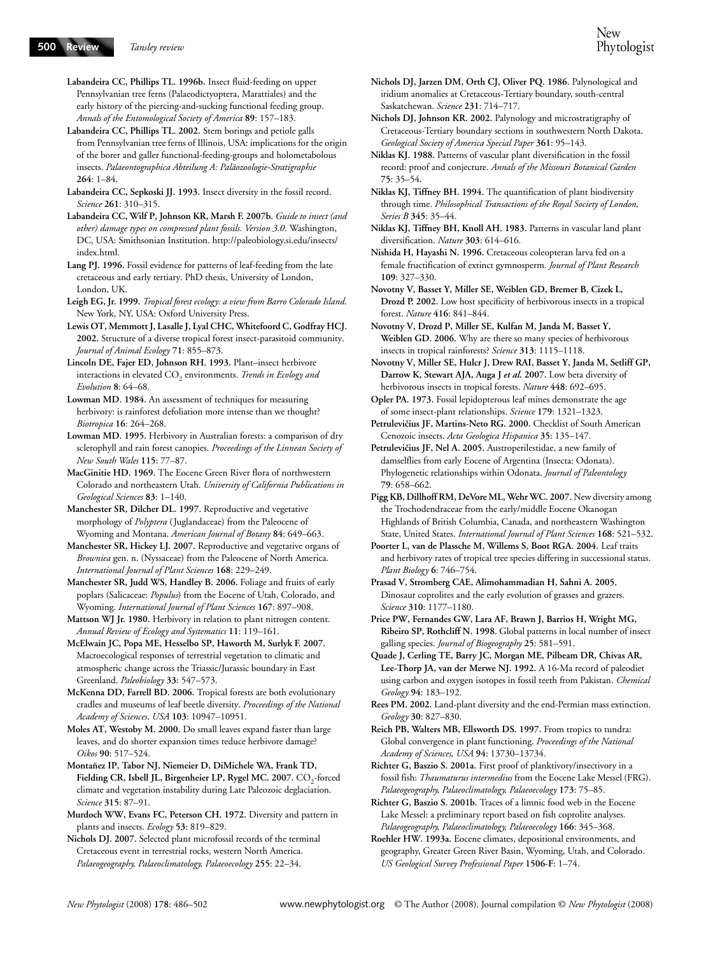**Labandeira CC, Phillips TL. 1996b.** Insect fluid-feeding on upper Pennsylvanian tree ferns (Palaeodictyoptera, Marattiales) and the early history of the piercing-and-sucking functional feeding group. *Annals of the Entomological Society of America* **89**: 157–183.

**Labandeira CC, Phillips TL. 2002.** Stem borings and petiole galls from Pennsylvanian tree ferns of Illinois, USA: implications for the origin of the borer and galler functional-feeding-groups and holometabolous insects. *Palaeontographica Abteilung A: Paläozoologie-Stratigraphie* **264**: 1–84.

**Labandeira CC, Sepkoski JJ. 1993.** Insect diversity in the fossil record. *Science* **261**: 310–315.

**Labandeira CC, Wilf P, Johnson KR, Marsh F. 2007b.** *Guide to insect (and other) damage types on compressed plant fossils. Version 3.0*. Washington, DC, USA: Smithsonian Institution. [http://paleobiology.si.edu/insects/](http://paleobiology.si.edu/insects) index.html.

**Lang PJ. 1996.** Fossil evidence for patterns of leaf-feeding from the late cretaceous and early tertiary. PhD thesis, University of London, London, UK.

**Leigh EG, Jr. 1999.** *Tropical forest ecology: a view from Barro Colorado Island*. New York, NY, USA: Oxford University Press.

**Lewis OT, Memmott J, Lasalle J, Lyal CHC, Whitefoord C, Godfray HCJ. 2002.** Structure of a diverse tropical forest insect-parasitoid community. *Journal of Animal Ecology* **71**: 855–873.

**Lincoln DE, Fajer ED, Johnson RH. 1993.** Plant–insect herbivore interactions in elevated CO<sub>2</sub> environments. *Trends in Ecology and Evolution* **8**: 64–68.

**Lowman MD. 1984.** An assessment of techniques for measuring herbivory: is rainforest defoliation more intense than we thought? *Biotropica* **16**: 264–268.

**Lowman MD. 1995.** Herbivory in Australian forests: a comparison of dry sclerophyll and rain forest canopies. *Proceedings of the Linnean Society of New South Wales* **115**: 77–87.

**MacGinitie HD. 1969.** The Eocene Green River flora of northwestern Colorado and northeastern Utah. *University of California Publications in Geological Sciences* **83**: 1–140.

**Manchester SR, Dilcher DL. 1997.** Reproductive and vegetative morphology of *Polyptera* (Juglandaceae) from the Paleocene of Wyoming and Montana. *American Journal of Botany* **84**: 649–663.

**Manchester SR, Hickey LJ. 2007.** Reproductive and vegetative organs of *Browniea* gen. n. (Nyssaceae) from the Paleocene of North America. *International Journal of Plant Sciences* **168**: 229–249.

**Manchester SR, Judd WS, Handley B. 2006.** Foliage and fruits of early poplars (Salicaceae: *Populus*) from the Eocene of Utah, Colorado, and Wyoming. *International Journal of Plant Sciences* **167**: 897–908.

**Mattson WJ Jr. 1980.** Herbivory in relation to plant nitrogen content. *Annual Review of Ecology and Systematics* **11**: 119–161.

**McElwain JC, Popa ME, Hesselbo SP, Haworth M, Surlyk F. 2007.**  Macroecological responses of terrestrial vegetation to climatic and atmospheric change across the Triassic/Jurassic boundary in East Greenland. *Paleobiology* **33**: 547–573.

**McKenna DD, Farrell BD. 2006.** Tropical forests are both evolutionary cradles and museums of leaf beetle diversity. *Proceedings of the National Academy of Sciences, USA* **103**: 10947–10951.

**Moles AT, Westoby M. 2000.** Do small leaves expand faster than large leaves, and do shorter expansion times reduce herbivore damage? *Oikos* **90**: 517–524.

**Montañez IP, Tabor NJ, Niemeier D, DiMichele WA, Frank TD,**  Fielding CR, Isbell JL, Birgenheier LP, Rygel MC. 2007. CO<sub>2</sub>-forced climate and vegetation instability during Late Paleozoic deglaciation. *Science* **315**: 87–91.

**Murdoch WW, Evans FC, Peterson CH. 1972.** Diversity and pattern in plants and insects. *Ecology* **53**: 819–829.

**Nichols DJ. 2007.** Selected plant microfossil records of the terminal Cretaceous event in terrestrial rocks, western North America. *Palaeogeography, Palaeoclimatology, Palaeoecology* **255**: 22–34.

**Nichols DJ, Jarzen DM, Orth CJ, Oliver PQ. 1986.** Palynological and iridium anomalies at Cretaceous-Tertiary boundary, south-central Saskatchewan. *Science* **231**: 714–717.

**Nichols DJ, Johnson KR. 2002.** Palynology and microstratigraphy of Cretaceous-Tertiary boundary sections in southwestern North Dakota. *Geological Society of America Special Paper* **361**: 95–143.

**Niklas KJ. 1988.** Patterns of vascular plant diversification in the fossil record: proof and conjecture. *Annals of the Missouri Botanical Garden* **75**: 35–54.

**Niklas KJ, Tiffney BH. 1994.** The quantification of plant biodiversity through time. *Philosophical Transactions of the Royal Society of London, Series B* **345**: 35–44.

**Niklas KJ, Tiffney BH, Knoll AH. 1983.** Patterns in vascular land plant diversification. *Nature* **303**: 614–616.

**Nishida H, Hayashi N. 1996.** Cretaceous coleopteran larva fed on a female fructification of extinct gymnosperm. *Journal of Plant Research* **109**: 327–330.

**Novotny V, Basset Y, Miller SE, Weiblen GD, Bremer B, Cizek L, Drozd P. 2002.** Low host specificity of herbivorous insects in a tropical forest. *Nature* **416**: 841–844.

**Novotny V, Drozd P, Miller SE, Kulfan M, Janda M, Basset Y, Weiblen GD. 2006.** Why are there so many species of herbivorous insects in tropical rainforests? *Science* **313**: 1115–1118.

**Novotny V, Miller SE, Hulcr J, Drew RAI, Basset Y, Janda M, Setliff GP, Darrow K, Stewart AJA, Auga J** *et al***. 2007.** Low beta diversity of herbivorous insects in tropical forests. *Nature* **448**: 692–695.

**Opler PA. 1973.** Fossil lepidopterous leaf mines demonstrate the age of some insect-plant relationships. *Science* **179**: 1321–1323.

Petrulevičius JF, Martins-Neto RG. 2000. Checklist of South American Cenozoic insects. *Acta Geologica Hispanica* **35**: 135–147.

Petrulevičius JF, Nel A. 2005. Austroperilestidae, a new family of damselflies from early Eocene of Argentina (Insecta: Odonata). Phylogenetic relationships within Odonata. *Journal of Paleontology* **79**: 658–662.

**Pigg KB, Dillhoff RM, DeVore ML, Wehr WC. 2007.** New diversity among the Trochodendraceae from the early/middle Eocene Okanogan Highlands of British Columbia, Canada, and northeastern Washington State, United States. *International Journal of Plant Sciences* **168**: 521–532.

**Poorter L, van de Plassche M, Willems S, Boot RGA. 2004.** Leaf traits and herbivory rates of tropical tree species differing in successional status. *Plant Biology* **6**: 746–754.

**Prasad V, Stromberg CAE, Alimohammadian H, Sahni A. 2005.**  Dinosaur coprolites and the early evolution of grasses and grazers. *Science* **310**: 1177–1180.

**Price PW, Fernandes GW, Lara AF, Brawn J, Barrios H, Wright MG, Ribeiro SP, Rothcliff N. 1998.** Global patterns in local number of insect galling species. *Journal of Biogeography* **25**: 581–591.

**Quade J, Cerling TE, Barry JC, Morgan ME, Pilbeam DR, Chivas AR, Lee-Thorp JA, van der Merwe NJ. 1992.** A 16-Ma record of paleodiet using carbon and oxygen isotopes in fossil teeth from Pakistan. *Chemical Geology* **94**: 183–192.

**Rees PM. 2002.** Land-plant diversity and the end-Permian mass extinction. *Geology* **30**: 827–830.

**Reich PB, Walters MB, Ellsworth DS. 1997.** From tropics to tundra: Global convergence in plant functioning. *Proceedings of the National Academy of Sciences, USA* **94**: 13730–13734.

**Richter G, Baszio S. 2001a.** First proof of planktivory/insectivory in a fossil fish: *Thaumaturus intermedius* from the Eocene Lake Messel (FRG). *Palaeogeography, Palaeoclimatology, Palaeoecology* **173**: 75–85.

**Richter G, Baszio S. 2001b.** Traces of a limnic food web in the Eocene Lake Messel: a preliminary report based on fish coprolite analyses. *Palaeogeography, Palaeoclimatology, Palaeoecology* **166**: 345–368.

**Roehler HW. 1993a.** Eocene climates, depositional environments, and geography, Greater Green River Basin, Wyoming, Utah, and Colorado. *US Geological Survey Professional Paper* **1506-F**: 1–74.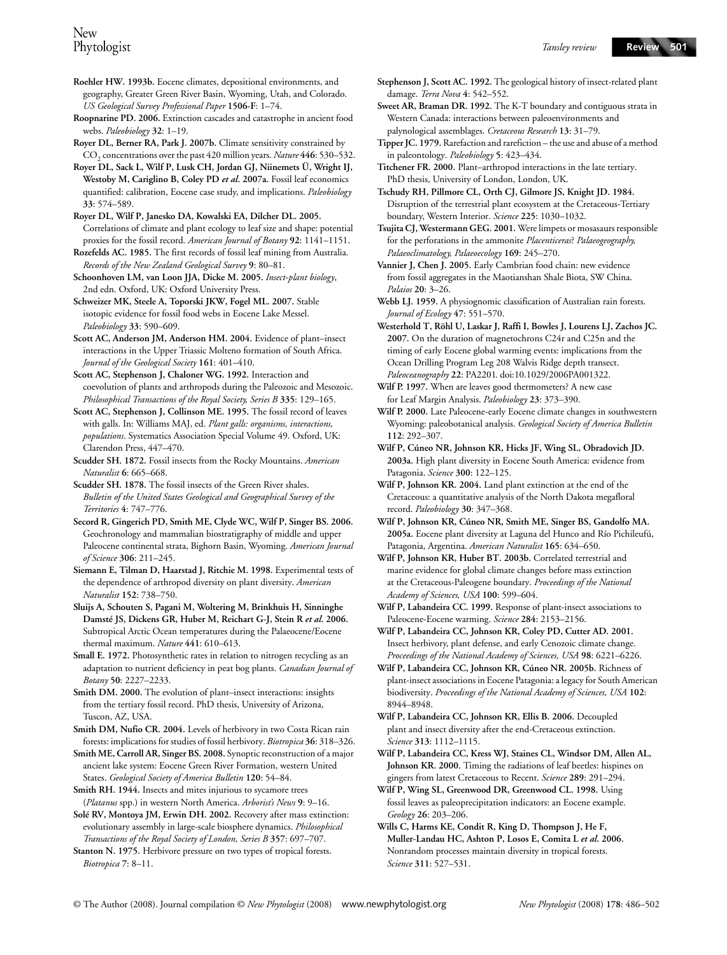- **Roehler HW. 1993b.** Eocene climates, depositional environments, and geography, Greater Green River Basin, Wyoming, Utah, and Colorado. *US Geological Survey Professional Paper* **1506-F**: 1–74.
- **Roopnarine PD. 2006.** Extinction cascades and catastrophe in ancient food webs. *Paleobiology* **32**: 1–19.
- **Royer DL, Berner RA, Park J. 2007b.** Climate sensitivity constrained by CO2 concentrations over the past 420 million years. *Nature* **446**: 530–532.
- **Royer DL, Sack L, Wilf P, Lusk CH, Jordan GJ, Niinemets Ü, Wright IJ,**  Westoby M, Cariglino B, Coley PD et al. 2007a. Fossil leaf economics quantified: calibration, Eocene case study, and implications. *Paleobiology* **33**: 574–589.
- **Royer DL, Wilf P, Janesko DA, Kowalski EA, Dilcher DL. 2005.**  Correlations of climate and plant ecology to leaf size and shape: potential proxies for the fossil record. *American Journal of Botany* **92**: 1141–1151.
- **Rozefelds AC. 1985.** The first records of fossil leaf mining from Australia. *Records of the New Zealand Geological Survey* **9**: 80–81.
- **Schoonhoven LM, van Loon JJA, Dicke M. 2005.** *Insect-plant biology*, 2nd edn. Oxford, UK: Oxford University Press.
- **Schweizer MK, Steele A, Toporski JKW, Fogel ML. 2007.** Stable isotopic evidence for fossil food webs in Eocene Lake Messel. *Paleobiology* **33**: 590–609.
- **Scott AC, Anderson JM, Anderson HM. 2004.** Evidence of plant–insect interactions in the Upper Triassic Molteno formation of South Africa. *Journal of the Geological Society* **161**: 401–410.
- **Scott AC, Stephenson J, Chaloner WG. 1992.** Interaction and coevolution of plants and arthropods during the Paleozoic and Mesozoic. *Philosophical Transactions of the Royal Society, Series B* **335**: 129–165.
- **Scott AC, Stephenson J, Collinson ME. 1995.** The fossil record of leaves with galls. In: Williams MAJ, ed. *Plant galls: organisms, interactions, populations*. Systematics Association Special Volume 49. Oxford, UK: Clarendon Press, 447–470.
- **Scudder SH. 1872.** Fossil insects from the Rocky Mountains. *American Naturalist* **6**: 665–668.
- **Scudder SH. 1878.** The fossil insects of the Green River shales. *Bulletin of the United States Geological and Geographical Survey of the Territories* **4**: 747–776.
- **Secord R, Gingerich PD, Smith ME, Clyde WC, Wilf P, Singer BS. 2006.**  Geochronology and mammalian biostratigraphy of middle and upper Paleocene continental strata, Bighorn Basin, Wyoming. *American Journal of Science* **306**: 211–245.
- **Siemann E, Tilman D, Haarstad J, Ritchie M. 1998.** Experimental tests of the dependence of arthropod diversity on plant diversity. *American Naturalist* **152**: 738–750.
- **Sluijs A, Schouten S, Pagani M, Woltering M, Brinkhuis H, Sinninghe Damsté JS, Dickens GR, Huber M, Reichart G-J, Stein R** *et al***. 2006.**  Subtropical Arctic Ocean temperatures during the Palaeocene/Eocene thermal maximum. *Nature* **441**: 610–613.
- **Small E. 1972.** Photosynthetic rates in relation to nitrogen recycling as an adaptation to nutrient deficiency in peat bog plants. *Canadian Journal of Botany* **50**: 2227–2233.
- **Smith DM. 2000.** The evolution of plant–insect interactions: insights from the tertiary fossil record. PhD thesis, University of Arizona, Tuscon, AZ, USA.
- **Smith DM, Nufio CR. 2004.** Levels of herbivory in two Costa Rican rain forests: implications for studies of fossil herbivory. *Biotropica* **36**: 318–326.
- **Smith ME, Carroll AR, Singer BS. 2008.** Synoptic reconstruction of a major ancient lake system: Eocene Green River Formation, western United States. *Geological Society of America Bulletin* **120**: 54–84.
- **Smith RH. 1944.** Insects and mites injurious to sycamore trees (*Platanus* spp.) in western North America. *Arborist's News* **9**: 9–16.
- **Solé RV, Montoya JM, Erwin DH. 2002.** Recovery after mass extinction: evolutionary assembly in large-scale biosphere dynamics. *Philosophical Transactions of the Royal Society of London, Series B* **357**: 697–707.
- **Stanton N. 1975.** Herbivore pressure on two types of tropical forests. *Biotropica* **7**: 8–11.
- **Stephenson J, Scott AC. 1992.** The geological history of insect-related plant damage. *Terra Nova* **4**: 542–552.
- **Sweet AR, Braman DR. 1992.** The K-T boundary and contiguous strata in Western Canada: interactions between paleoenvironments and palynological assemblages. *Cretaceous Research* **13**: 31–79.
- **Tipper JC. 1979.** Rarefaction and rarefiction the use and abuse of a method in paleontology. *Paleobiology* **5**: 423–434.
- **Titchener FR. 2000.** Plant–arthropod interactions in the late tertiary. PhD thesis, University of London, London, UK.
- **Tschudy RH, Pillmore CL, Orth CJ, Gilmore JS, Knight JD. 1984.**  Disruption of the terrestrial plant ecosystem at the Cretaceous-Tertiary boundary, Western Interior. *Science* **225**: 1030–1032.
- **Tsujita CJ, Westermann GEG. 2001.** Were limpets or mosasaurs responsible for the perforations in the ammonite *Placenticeras*? *Palaeogeography, Palaeoclimatology, Palaeoecology* **169**: 245–270.
- **Vannier J, Chen J. 2005.** Early Cambrian food chain: new evidence from fossil aggregates in the Maotianshan Shale Biota, SW China. *Palaios* **20**: 3–26.
- **Webb LJ. 1959.** A physiognomic classification of Australian rain forests. *Journal of Ecology* **47**: 551–570.
- **Westerhold T, Röhl U, Laskar J, Raffi I, Bowles J, Lourens LJ, Zachos JC. 2007.** On the duration of magnetochrons C24r and C25n and the timing of early Eocene global warming events: implications from the Ocean Drilling Program Leg 208 Walvis Ridge depth transect. *Paleoceanography* **22**: PA2201. doi:10.1029/2006PA001322.
- **Wilf P. 1997.** When are leaves good thermometers? A new case for Leaf Margin Analysis. *Paleobiology* **23**: 373–390.
- **Wilf P. 2000.** Late Paleocene-early Eocene climate changes in southwestern Wyoming: paleobotanical analysis. *Geological Society of America Bulletin* **112**: 292–307.
- **Wilf P, Cúneo NR, Johnson KR, Hicks JF, Wing SL, Obradovich JD. 2003a.** High plant diversity in Eocene South America: evidence from Patagonia. *Science* **300**: 122–125.
- **Wilf P, Johnson KR. 2004.** Land plant extinction at the end of the Cretaceous: a quantitative analysis of the North Dakota megafloral record. *Paleobiology* **30**: 347–368.
- **Wilf P, Johnson KR, Cúneo NR, Smith ME, Singer BS, Gandolfo MA. 2005a.** Eocene plant diversity at Laguna del Hunco and Río Pichileufú, Patagonia, Argentina. *American Naturalist* **165**: 634–650.
- **Wilf P, Johnson KR, Huber BT. 2003b.** Correlated terrestrial and marine evidence for global climate changes before mass extinction at the Cretaceous-Paleogene boundary. *Proceedings of the National Academy of Sciences, USA* **100**: 599–604.
- **Wilf P, Labandeira CC. 1999.** Response of plant-insect associations to Paleocene-Eocene warming. *Science* **284**: 2153–2156.
- **Wilf P, Labandeira CC, Johnson KR, Coley PD, Cutter AD. 2001.**  Insect herbivory, plant defense, and early Cenozoic climate change. *Proceedings of the National Academy of Sciences, USA* **98**: 6221–6226.
- **Wilf P, Labandeira CC, Johnson KR, Cúneo NR. 2005b.** Richness of plant-insect associations in Eocene Patagonia: a legacy for South American biodiversity. *Proceedings of the National Academy of Sciences, USA* **102**: 8944–8948.
- **Wilf P, Labandeira CC, Johnson KR, Ellis B. 2006.** Decoupled plant and insect diversity after the end-Cretaceous extinction. *Science* **313**: 1112–1115.
- **Wilf P, Labandeira CC, Kress WJ, Staines CL, Windsor DM, Allen AL, Johnson KR. 2000.** Timing the radiations of leaf beetles: hispines on gingers from latest Cretaceous to Recent. *Science* **289**: 291–294.
- **Wilf P, Wing SL, Greenwood DR, Greenwood CL. 1998.** Using fossil leaves as paleoprecipitation indicators: an Eocene example. *Geology* **26**: 203–206.
- **Wills C, Harms KE, Condit R, King D, Thompson J, He F, Muller-Landau HC, Ashton P, Losos E, Comita L** *et al***. 2006.**  Nonrandom processes maintain diversity in tropical forests. *Science* **311**: 527–531.